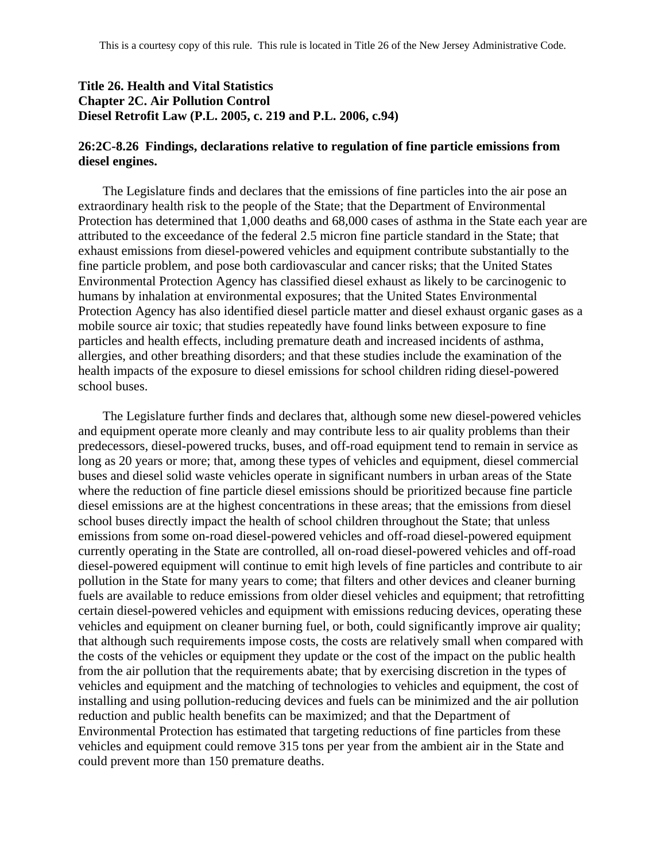### **Title 26. Health and Vital Statistics Chapter 2C. Air Pollution Control Diesel Retrofit Law (P.L. 2005, c. 219 and P.L. 2006, c.94)**

### **26:2C-8.26 Findings, declarations relative to regulation of fine particle emissions from diesel engines.**

The Legislature finds and declares that the emissions of fine particles into the air pose an extraordinary health risk to the people of the State; that the Department of Environmental Protection has determined that 1,000 deaths and 68,000 cases of asthma in the State each year are attributed to the exceedance of the federal 2.5 micron fine particle standard in the State; that exhaust emissions from diesel-powered vehicles and equipment contribute substantially to the fine particle problem, and pose both cardiovascular and cancer risks; that the United States Environmental Protection Agency has classified diesel exhaust as likely to be carcinogenic to humans by inhalation at environmental exposures; that the United States Environmental Protection Agency has also identified diesel particle matter and diesel exhaust organic gases as a mobile source air toxic; that studies repeatedly have found links between exposure to fine particles and health effects, including premature death and increased incidents of asthma, allergies, and other breathing disorders; and that these studies include the examination of the health impacts of the exposure to diesel emissions for school children riding diesel-powered school buses.

The Legislature further finds and declares that, although some new diesel-powered vehicles and equipment operate more cleanly and may contribute less to air quality problems than their predecessors, diesel-powered trucks, buses, and off-road equipment tend to remain in service as long as 20 years or more; that, among these types of vehicles and equipment, diesel commercial buses and diesel solid waste vehicles operate in significant numbers in urban areas of the State where the reduction of fine particle diesel emissions should be prioritized because fine particle diesel emissions are at the highest concentrations in these areas; that the emissions from diesel school buses directly impact the health of school children throughout the State; that unless emissions from some on-road diesel-powered vehicles and off-road diesel-powered equipment currently operating in the State are controlled, all on-road diesel-powered vehicles and off-road diesel-powered equipment will continue to emit high levels of fine particles and contribute to air pollution in the State for many years to come; that filters and other devices and cleaner burning fuels are available to reduce emissions from older diesel vehicles and equipment; that retrofitting certain diesel-powered vehicles and equipment with emissions reducing devices, operating these vehicles and equipment on cleaner burning fuel, or both, could significantly improve air quality; that although such requirements impose costs, the costs are relatively small when compared with the costs of the vehicles or equipment they update or the cost of the impact on the public health from the air pollution that the requirements abate; that by exercising discretion in the types of vehicles and equipment and the matching of technologies to vehicles and equipment, the cost of installing and using pollution-reducing devices and fuels can be minimized and the air pollution reduction and public health benefits can be maximized; and that the Department of Environmental Protection has estimated that targeting reductions of fine particles from these vehicles and equipment could remove 315 tons per year from the ambient air in the State and could prevent more than 150 premature deaths.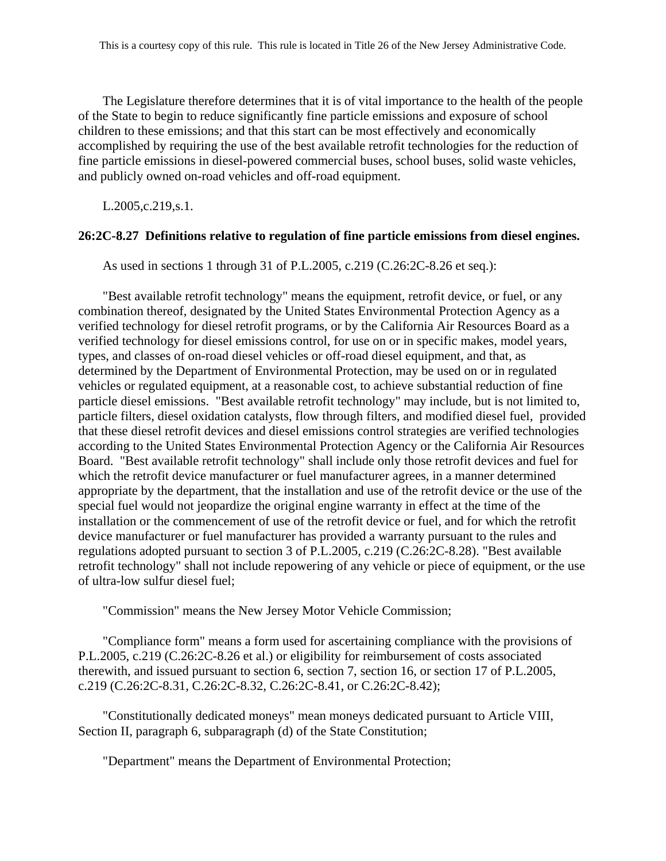The Legislature therefore determines that it is of vital importance to the health of the people of the State to begin to reduce significantly fine particle emissions and exposure of school children to these emissions; and that this start can be most effectively and economically accomplished by requiring the use of the best available retrofit technologies for the reduction of fine particle emissions in diesel-powered commercial buses, school buses, solid waste vehicles, and publicly owned on-road vehicles and off-road equipment.

L.2005,c.219,s.1.

#### **26:2C-8.27 Definitions relative to regulation of fine particle emissions from diesel engines.**

As used in sections 1 through 31 of P.L.2005, c.219 (C.26:2C-8.26 et seq.):

"Best available retrofit technology" means the equipment, retrofit device, or fuel, or any combination thereof, designated by the United States Environmental Protection Agency as a verified technology for diesel retrofit programs, or by the California Air Resources Board as a verified technology for diesel emissions control, for use on or in specific makes, model years, types, and classes of on-road diesel vehicles or off-road diesel equipment, and that, as determined by the Department of Environmental Protection, may be used on or in regulated vehicles or regulated equipment, at a reasonable cost, to achieve substantial reduction of fine particle diesel emissions. "Best available retrofit technology" may include, but is not limited to, particle filters, diesel oxidation catalysts, flow through filters, and modified diesel fuel, provided that these diesel retrofit devices and diesel emissions control strategies are verified technologies according to the United States Environmental Protection Agency or the California Air Resources Board. "Best available retrofit technology" shall include only those retrofit devices and fuel for which the retrofit device manufacturer or fuel manufacturer agrees, in a manner determined appropriate by the department, that the installation and use of the retrofit device or the use of the special fuel would not jeopardize the original engine warranty in effect at the time of the installation or the commencement of use of the retrofit device or fuel, and for which the retrofit device manufacturer or fuel manufacturer has provided a warranty pursuant to the rules and regulations adopted pursuant to section 3 of P.L.2005, c.219 (C.26:2C-8.28). "Best available retrofit technology" shall not include repowering of any vehicle or piece of equipment, or the use of ultra-low sulfur diesel fuel;

"Commission" means the New Jersey Motor Vehicle Commission;

"Compliance form" means a form used for ascertaining compliance with the provisions of P.L.2005, c.219 (C.26:2C-8.26 et al.) or eligibility for reimbursement of costs associated therewith, and issued pursuant to section 6, section 7, section 16, or section 17 of P.L.2005, c.219 (C.26:2C-8.31, C.26:2C-8.32, C.26:2C-8.41, or C.26:2C-8.42);

"Constitutionally dedicated moneys" mean moneys dedicated pursuant to Article VIII, Section II, paragraph 6, subparagraph (d) of the State Constitution;

"Department" means the Department of Environmental Protection;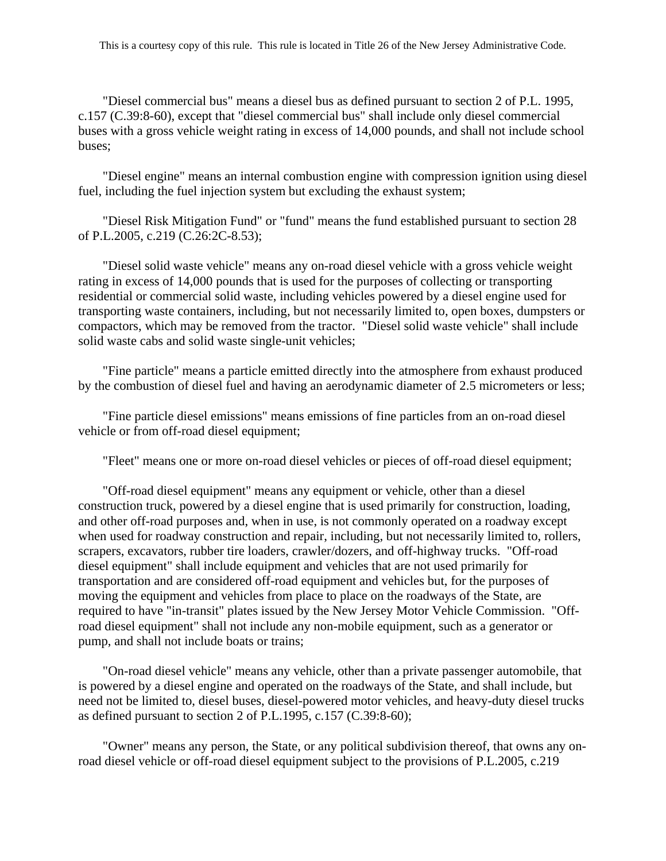"Diesel commercial bus" means a diesel bus as defined pursuant to section 2 of P.L. 1995, c.157 (C.39:8-60), except that "diesel commercial bus" shall include only diesel commercial buses with a gross vehicle weight rating in excess of 14,000 pounds, and shall not include school buses;

"Diesel engine" means an internal combustion engine with compression ignition using diesel fuel, including the fuel injection system but excluding the exhaust system;

"Diesel Risk Mitigation Fund" or "fund" means the fund established pursuant to section 28 of P.L.2005, c.219 (C.26:2C-8.53);

"Diesel solid waste vehicle" means any on-road diesel vehicle with a gross vehicle weight rating in excess of 14,000 pounds that is used for the purposes of collecting or transporting residential or commercial solid waste, including vehicles powered by a diesel engine used for transporting waste containers, including, but not necessarily limited to, open boxes, dumpsters or compactors, which may be removed from the tractor. "Diesel solid waste vehicle" shall include solid waste cabs and solid waste single-unit vehicles;

"Fine particle" means a particle emitted directly into the atmosphere from exhaust produced by the combustion of diesel fuel and having an aerodynamic diameter of 2.5 micrometers or less;

"Fine particle diesel emissions" means emissions of fine particles from an on-road diesel vehicle or from off-road diesel equipment;

"Fleet" means one or more on-road diesel vehicles or pieces of off-road diesel equipment;

"Off-road diesel equipment" means any equipment or vehicle, other than a diesel construction truck, powered by a diesel engine that is used primarily for construction, loading, and other off-road purposes and, when in use, is not commonly operated on a roadway except when used for roadway construction and repair, including, but not necessarily limited to, rollers, scrapers, excavators, rubber tire loaders, crawler/dozers, and off-highway trucks. "Off-road diesel equipment" shall include equipment and vehicles that are not used primarily for transportation and are considered off-road equipment and vehicles but, for the purposes of moving the equipment and vehicles from place to place on the roadways of the State, are required to have "in-transit" plates issued by the New Jersey Motor Vehicle Commission. "Offroad diesel equipment" shall not include any non-mobile equipment, such as a generator or pump, and shall not include boats or trains;

"On-road diesel vehicle" means any vehicle, other than a private passenger automobile, that is powered by a diesel engine and operated on the roadways of the State, and shall include, but need not be limited to, diesel buses, diesel-powered motor vehicles, and heavy-duty diesel trucks as defined pursuant to section 2 of P.L.1995, c.157 (C.39:8-60);

"Owner" means any person, the State, or any political subdivision thereof, that owns any onroad diesel vehicle or off-road diesel equipment subject to the provisions of P.L.2005, c.219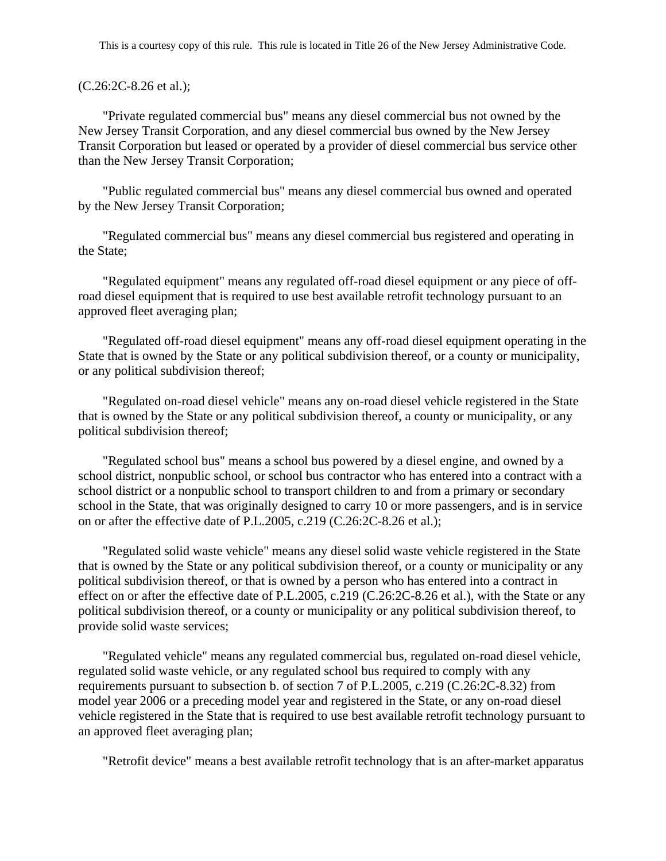### (C.26:2C-8.26 et al.);

"Private regulated commercial bus" means any diesel commercial bus not owned by the New Jersey Transit Corporation, and any diesel commercial bus owned by the New Jersey Transit Corporation but leased or operated by a provider of diesel commercial bus service other than the New Jersey Transit Corporation;

"Public regulated commercial bus" means any diesel commercial bus owned and operated by the New Jersey Transit Corporation;

"Regulated commercial bus" means any diesel commercial bus registered and operating in the State;

"Regulated equipment" means any regulated off-road diesel equipment or any piece of offroad diesel equipment that is required to use best available retrofit technology pursuant to an approved fleet averaging plan;

"Regulated off-road diesel equipment" means any off-road diesel equipment operating in the State that is owned by the State or any political subdivision thereof, or a county or municipality, or any political subdivision thereof;

"Regulated on-road diesel vehicle" means any on-road diesel vehicle registered in the State that is owned by the State or any political subdivision thereof, a county or municipality, or any political subdivision thereof;

"Regulated school bus" means a school bus powered by a diesel engine, and owned by a school district, nonpublic school, or school bus contractor who has entered into a contract with a school district or a nonpublic school to transport children to and from a primary or secondary school in the State, that was originally designed to carry 10 or more passengers, and is in service on or after the effective date of P.L.2005, c.219 (C.26:2C-8.26 et al.);

"Regulated solid waste vehicle" means any diesel solid waste vehicle registered in the State that is owned by the State or any political subdivision thereof, or a county or municipality or any political subdivision thereof, or that is owned by a person who has entered into a contract in effect on or after the effective date of P.L.2005, c.219 (C.26:2C-8.26 et al.), with the State or any political subdivision thereof, or a county or municipality or any political subdivision thereof, to provide solid waste services;

"Regulated vehicle" means any regulated commercial bus, regulated on-road diesel vehicle, regulated solid waste vehicle, or any regulated school bus required to comply with any requirements pursuant to subsection b. of section 7 of P.L.2005, c.219 (C.26:2C-8.32) from model year 2006 or a preceding model year and registered in the State, or any on-road diesel vehicle registered in the State that is required to use best available retrofit technology pursuant to an approved fleet averaging plan;

"Retrofit device" means a best available retrofit technology that is an after-market apparatus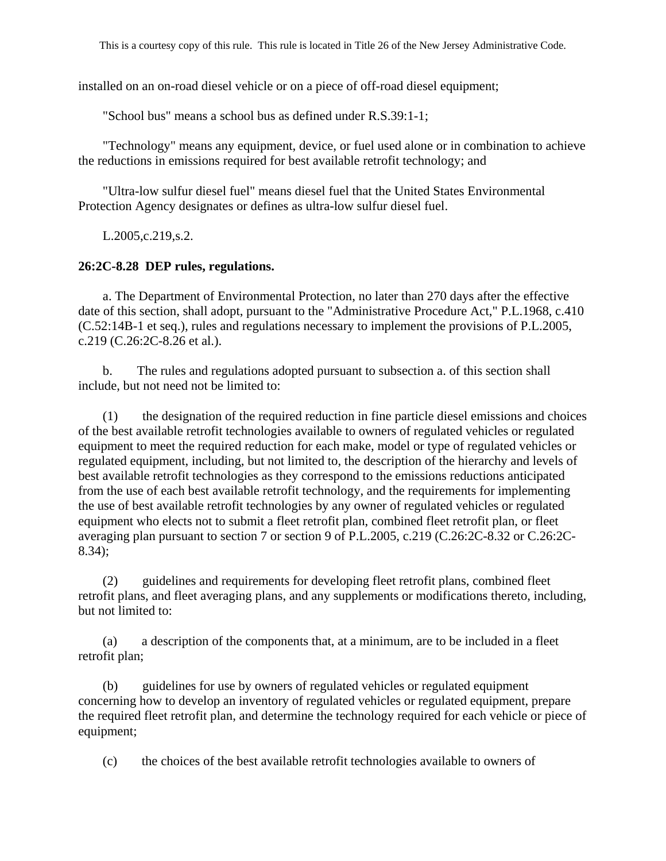installed on an on-road diesel vehicle or on a piece of off-road diesel equipment;

"School bus" means a school bus as defined under R.S.39:1-1;

"Technology" means any equipment, device, or fuel used alone or in combination to achieve the reductions in emissions required for best available retrofit technology; and

"Ultra-low sulfur diesel fuel" means diesel fuel that the United States Environmental Protection Agency designates or defines as ultra-low sulfur diesel fuel.

L.2005,c.219,s.2.

#### **26:2C-8.28 DEP rules, regulations.**

a. The Department of Environmental Protection, no later than 270 days after the effective date of this section, shall adopt, pursuant to the "Administrative Procedure Act," P.L.1968, c.410 (C.52:14B-1 et seq.), rules and regulations necessary to implement the provisions of P.L.2005, c.219 (C.26:2C-8.26 et al.).

b. The rules and regulations adopted pursuant to subsection a. of this section shall include, but not need not be limited to:

(1) the designation of the required reduction in fine particle diesel emissions and choices of the best available retrofit technologies available to owners of regulated vehicles or regulated equipment to meet the required reduction for each make, model or type of regulated vehicles or regulated equipment, including, but not limited to, the description of the hierarchy and levels of best available retrofit technologies as they correspond to the emissions reductions anticipated from the use of each best available retrofit technology, and the requirements for implementing the use of best available retrofit technologies by any owner of regulated vehicles or regulated equipment who elects not to submit a fleet retrofit plan, combined fleet retrofit plan, or fleet averaging plan pursuant to section 7 or section 9 of P.L.2005, c.219 (C.26:2C-8.32 or C.26:2C-8.34);

(2) guidelines and requirements for developing fleet retrofit plans, combined fleet retrofit plans, and fleet averaging plans, and any supplements or modifications thereto, including, but not limited to:

(a) a description of the components that, at a minimum, are to be included in a fleet retrofit plan;

(b) guidelines for use by owners of regulated vehicles or regulated equipment concerning how to develop an inventory of regulated vehicles or regulated equipment, prepare the required fleet retrofit plan, and determine the technology required for each vehicle or piece of equipment;

(c) the choices of the best available retrofit technologies available to owners of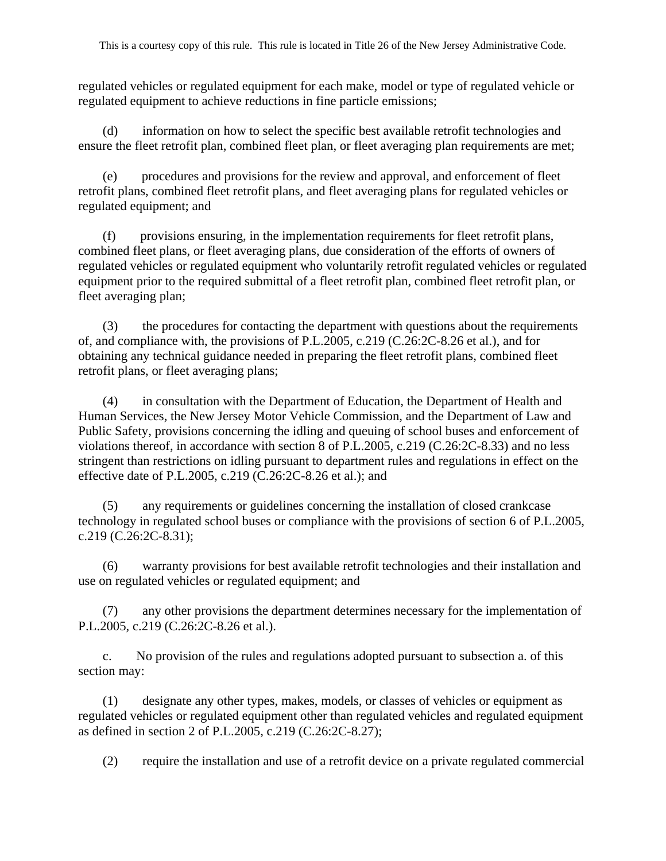regulated vehicles or regulated equipment for each make, model or type of regulated vehicle or regulated equipment to achieve reductions in fine particle emissions;

(d) information on how to select the specific best available retrofit technologies and ensure the fleet retrofit plan, combined fleet plan, or fleet averaging plan requirements are met;

(e) procedures and provisions for the review and approval, and enforcement of fleet retrofit plans, combined fleet retrofit plans, and fleet averaging plans for regulated vehicles or regulated equipment; and

(f) provisions ensuring, in the implementation requirements for fleet retrofit plans, combined fleet plans, or fleet averaging plans, due consideration of the efforts of owners of regulated vehicles or regulated equipment who voluntarily retrofit regulated vehicles or regulated equipment prior to the required submittal of a fleet retrofit plan, combined fleet retrofit plan, or fleet averaging plan;

(3) the procedures for contacting the department with questions about the requirements of, and compliance with, the provisions of P.L.2005, c.219 (C.26:2C-8.26 et al.), and for obtaining any technical guidance needed in preparing the fleet retrofit plans, combined fleet retrofit plans, or fleet averaging plans;

(4) in consultation with the Department of Education, the Department of Health and Human Services, the New Jersey Motor Vehicle Commission, and the Department of Law and Public Safety, provisions concerning the idling and queuing of school buses and enforcement of violations thereof, in accordance with section 8 of P.L.2005, c.219 (C.26:2C-8.33) and no less stringent than restrictions on idling pursuant to department rules and regulations in effect on the effective date of P.L.2005, c.219 (C.26:2C-8.26 et al.); and

(5) any requirements or guidelines concerning the installation of closed crankcase technology in regulated school buses or compliance with the provisions of section 6 of P.L.2005, c.219 (C.26:2C-8.31);

(6) warranty provisions for best available retrofit technologies and their installation and use on regulated vehicles or regulated equipment; and

(7) any other provisions the department determines necessary for the implementation of P.L.2005, c.219 (C.26:2C-8.26 et al.).

c. No provision of the rules and regulations adopted pursuant to subsection a. of this section may:

(1) designate any other types, makes, models, or classes of vehicles or equipment as regulated vehicles or regulated equipment other than regulated vehicles and regulated equipment as defined in section 2 of P.L.2005, c.219 (C.26:2C-8.27);

(2) require the installation and use of a retrofit device on a private regulated commercial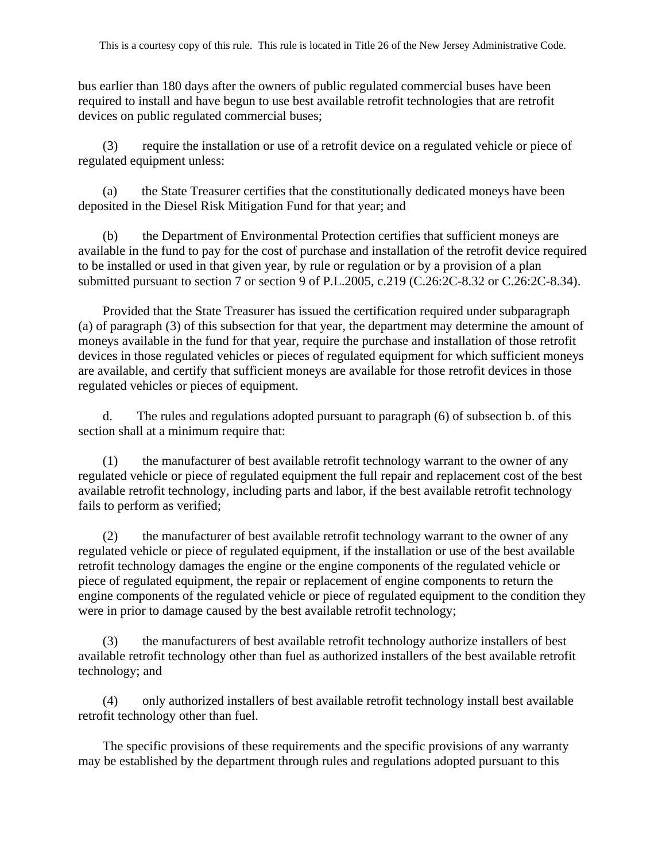bus earlier than 180 days after the owners of public regulated commercial buses have been required to install and have begun to use best available retrofit technologies that are retrofit devices on public regulated commercial buses;

(3) require the installation or use of a retrofit device on a regulated vehicle or piece of regulated equipment unless:

(a) the State Treasurer certifies that the constitutionally dedicated moneys have been deposited in the Diesel Risk Mitigation Fund for that year; and

(b) the Department of Environmental Protection certifies that sufficient moneys are available in the fund to pay for the cost of purchase and installation of the retrofit device required to be installed or used in that given year, by rule or regulation or by a provision of a plan submitted pursuant to section 7 or section 9 of P.L.2005, c.219 (C.26:2C-8.32 or C.26:2C-8.34).

Provided that the State Treasurer has issued the certification required under subparagraph (a) of paragraph (3) of this subsection for that year, the department may determine the amount of moneys available in the fund for that year, require the purchase and installation of those retrofit devices in those regulated vehicles or pieces of regulated equipment for which sufficient moneys are available, and certify that sufficient moneys are available for those retrofit devices in those regulated vehicles or pieces of equipment.

d. The rules and regulations adopted pursuant to paragraph (6) of subsection b. of this section shall at a minimum require that:

(1) the manufacturer of best available retrofit technology warrant to the owner of any regulated vehicle or piece of regulated equipment the full repair and replacement cost of the best available retrofit technology, including parts and labor, if the best available retrofit technology fails to perform as verified;

(2) the manufacturer of best available retrofit technology warrant to the owner of any regulated vehicle or piece of regulated equipment, if the installation or use of the best available retrofit technology damages the engine or the engine components of the regulated vehicle or piece of regulated equipment, the repair or replacement of engine components to return the engine components of the regulated vehicle or piece of regulated equipment to the condition they were in prior to damage caused by the best available retrofit technology;

(3) the manufacturers of best available retrofit technology authorize installers of best available retrofit technology other than fuel as authorized installers of the best available retrofit technology; and

(4) only authorized installers of best available retrofit technology install best available retrofit technology other than fuel.

The specific provisions of these requirements and the specific provisions of any warranty may be established by the department through rules and regulations adopted pursuant to this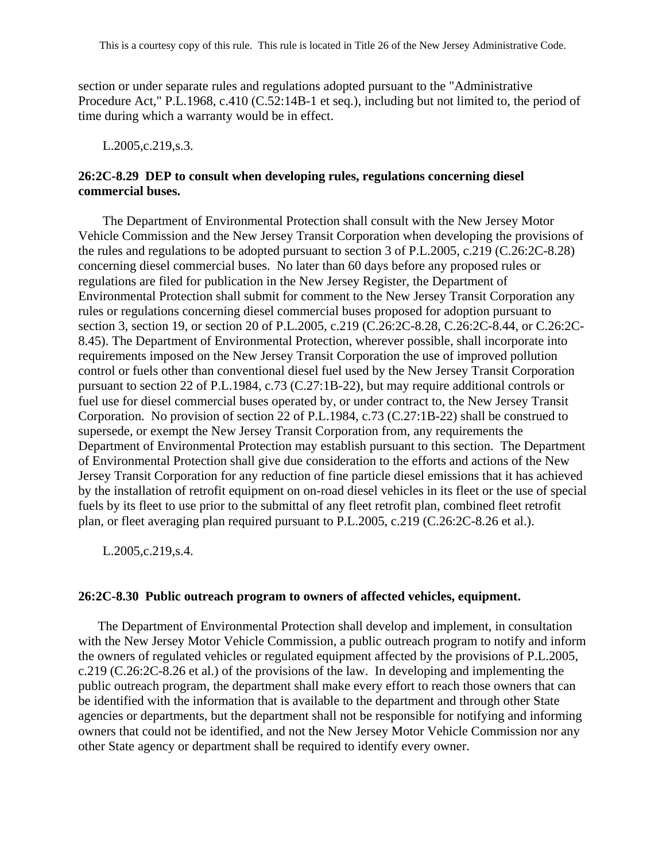section or under separate rules and regulations adopted pursuant to the "Administrative Procedure Act," P.L.1968, c.410 (C.52:14B-1 et seq.), including but not limited to, the period of time during which a warranty would be in effect.

L.2005,c.219,s.3.

### **26:2C-8.29 DEP to consult when developing rules, regulations concerning diesel commercial buses.**

The Department of Environmental Protection shall consult with the New Jersey Motor Vehicle Commission and the New Jersey Transit Corporation when developing the provisions of the rules and regulations to be adopted pursuant to section 3 of P.L.2005, c.219 (C.26:2C-8.28) concerning diesel commercial buses. No later than 60 days before any proposed rules or regulations are filed for publication in the New Jersey Register, the Department of Environmental Protection shall submit for comment to the New Jersey Transit Corporation any rules or regulations concerning diesel commercial buses proposed for adoption pursuant to section 3, section 19, or section 20 of P.L.2005, c.219 (C.26:2C-8.28, C.26:2C-8.44, or C.26:2C-8.45). The Department of Environmental Protection, wherever possible, shall incorporate into requirements imposed on the New Jersey Transit Corporation the use of improved pollution control or fuels other than conventional diesel fuel used by the New Jersey Transit Corporation pursuant to section 22 of P.L.1984, c.73 (C.27:1B-22), but may require additional controls or fuel use for diesel commercial buses operated by, or under contract to, the New Jersey Transit Corporation. No provision of section 22 of P.L.1984, c.73 (C.27:1B-22) shall be construed to supersede, or exempt the New Jersey Transit Corporation from, any requirements the Department of Environmental Protection may establish pursuant to this section. The Department of Environmental Protection shall give due consideration to the efforts and actions of the New Jersey Transit Corporation for any reduction of fine particle diesel emissions that it has achieved by the installation of retrofit equipment on on-road diesel vehicles in its fleet or the use of special fuels by its fleet to use prior to the submittal of any fleet retrofit plan, combined fleet retrofit plan, or fleet averaging plan required pursuant to P.L.2005, c.219 (C.26:2C-8.26 et al.).

L.2005,c.219,s.4.

### **26:2C-8.30 Public outreach program to owners of affected vehicles, equipment.**

 The Department of Environmental Protection shall develop and implement, in consultation with the New Jersey Motor Vehicle Commission, a public outreach program to notify and inform the owners of regulated vehicles or regulated equipment affected by the provisions of P.L.2005, c.219 (C.26:2C-8.26 et al.) of the provisions of the law. In developing and implementing the public outreach program, the department shall make every effort to reach those owners that can be identified with the information that is available to the department and through other State agencies or departments, but the department shall not be responsible for notifying and informing owners that could not be identified, and not the New Jersey Motor Vehicle Commission nor any other State agency or department shall be required to identify every owner.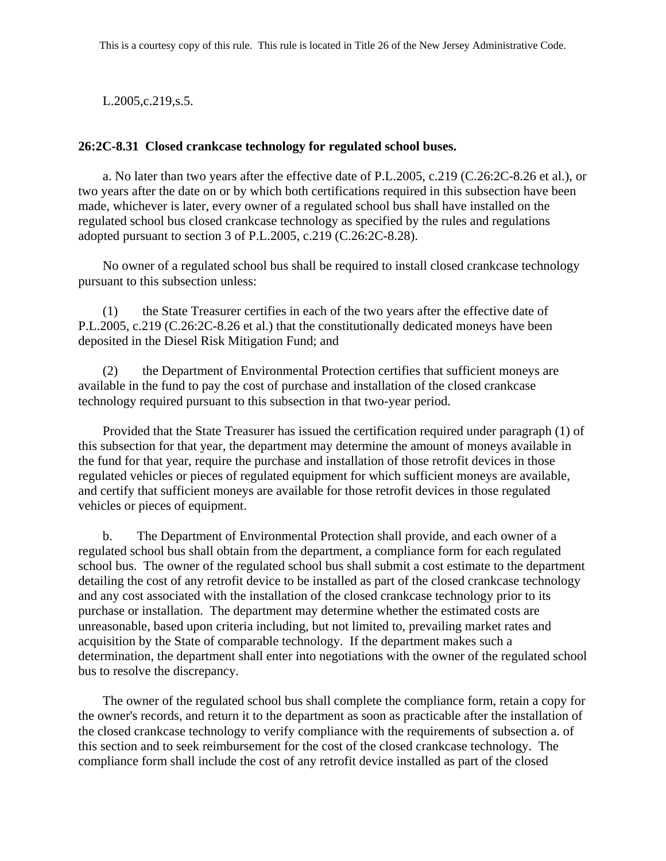L.2005,c.219,s.5.

## **26:2C-8.31 Closed crankcase technology for regulated school buses.**

a. No later than two years after the effective date of P.L.2005, c.219 (C.26:2C-8.26 et al.), or two years after the date on or by which both certifications required in this subsection have been made, whichever is later, every owner of a regulated school bus shall have installed on the regulated school bus closed crankcase technology as specified by the rules and regulations adopted pursuant to section 3 of P.L.2005, c.219 (C.26:2C-8.28).

No owner of a regulated school bus shall be required to install closed crankcase technology pursuant to this subsection unless:

(1) the State Treasurer certifies in each of the two years after the effective date of P.L.2005, c.219 (C.26:2C-8.26 et al.) that the constitutionally dedicated moneys have been deposited in the Diesel Risk Mitigation Fund; and

(2) the Department of Environmental Protection certifies that sufficient moneys are available in the fund to pay the cost of purchase and installation of the closed crankcase technology required pursuant to this subsection in that two-year period.

Provided that the State Treasurer has issued the certification required under paragraph (1) of this subsection for that year, the department may determine the amount of moneys available in the fund for that year, require the purchase and installation of those retrofit devices in those regulated vehicles or pieces of regulated equipment for which sufficient moneys are available, and certify that sufficient moneys are available for those retrofit devices in those regulated vehicles or pieces of equipment.

b. The Department of Environmental Protection shall provide, and each owner of a regulated school bus shall obtain from the department, a compliance form for each regulated school bus. The owner of the regulated school bus shall submit a cost estimate to the department detailing the cost of any retrofit device to be installed as part of the closed crankcase technology and any cost associated with the installation of the closed crankcase technology prior to its purchase or installation. The department may determine whether the estimated costs are unreasonable, based upon criteria including, but not limited to, prevailing market rates and acquisition by the State of comparable technology. If the department makes such a determination, the department shall enter into negotiations with the owner of the regulated school bus to resolve the discrepancy.

The owner of the regulated school bus shall complete the compliance form, retain a copy for the owner's records, and return it to the department as soon as practicable after the installation of the closed crankcase technology to verify compliance with the requirements of subsection a. of this section and to seek reimbursement for the cost of the closed crankcase technology. The compliance form shall include the cost of any retrofit device installed as part of the closed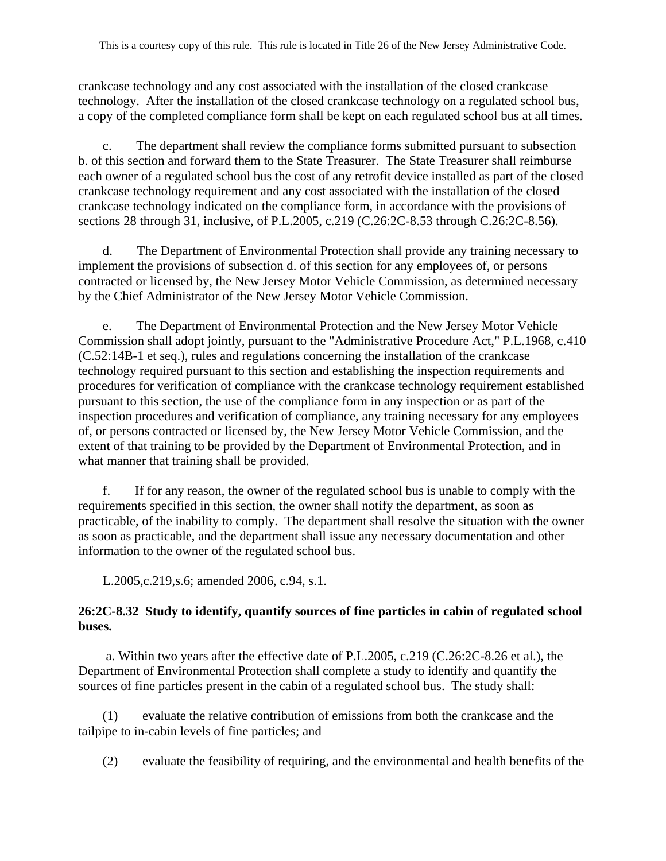crankcase technology and any cost associated with the installation of the closed crankcase technology. After the installation of the closed crankcase technology on a regulated school bus, a copy of the completed compliance form shall be kept on each regulated school bus at all times.

c. The department shall review the compliance forms submitted pursuant to subsection b. of this section and forward them to the State Treasurer. The State Treasurer shall reimburse each owner of a regulated school bus the cost of any retrofit device installed as part of the closed crankcase technology requirement and any cost associated with the installation of the closed crankcase technology indicated on the compliance form, in accordance with the provisions of sections 28 through 31, inclusive, of P.L.2005, c.219 (C.26:2C-8.53 through C.26:2C-8.56).

d. The Department of Environmental Protection shall provide any training necessary to implement the provisions of subsection d. of this section for any employees of, or persons contracted or licensed by, the New Jersey Motor Vehicle Commission, as determined necessary by the Chief Administrator of the New Jersey Motor Vehicle Commission.

e. The Department of Environmental Protection and the New Jersey Motor Vehicle Commission shall adopt jointly, pursuant to the "Administrative Procedure Act," P.L.1968, c.410 (C.52:14B-1 et seq.), rules and regulations concerning the installation of the crankcase technology required pursuant to this section and establishing the inspection requirements and procedures for verification of compliance with the crankcase technology requirement established pursuant to this section, the use of the compliance form in any inspection or as part of the inspection procedures and verification of compliance, any training necessary for any employees of, or persons contracted or licensed by, the New Jersey Motor Vehicle Commission, and the extent of that training to be provided by the Department of Environmental Protection, and in what manner that training shall be provided.

f. If for any reason, the owner of the regulated school bus is unable to comply with the requirements specified in this section, the owner shall notify the department, as soon as practicable, of the inability to comply. The department shall resolve the situation with the owner as soon as practicable, and the department shall issue any necessary documentation and other information to the owner of the regulated school bus.

L.2005,c.219,s.6; amended 2006, c.94, s.1.

## **26:2C-8.32 Study to identify, quantify sources of fine particles in cabin of regulated school buses.**

 a. Within two years after the effective date of P.L.2005, c.219 (C.26:2C-8.26 et al.), the Department of Environmental Protection shall complete a study to identify and quantify the sources of fine particles present in the cabin of a regulated school bus. The study shall:

(1) evaluate the relative contribution of emissions from both the crankcase and the tailpipe to in-cabin levels of fine particles; and

(2) evaluate the feasibility of requiring, and the environmental and health benefits of the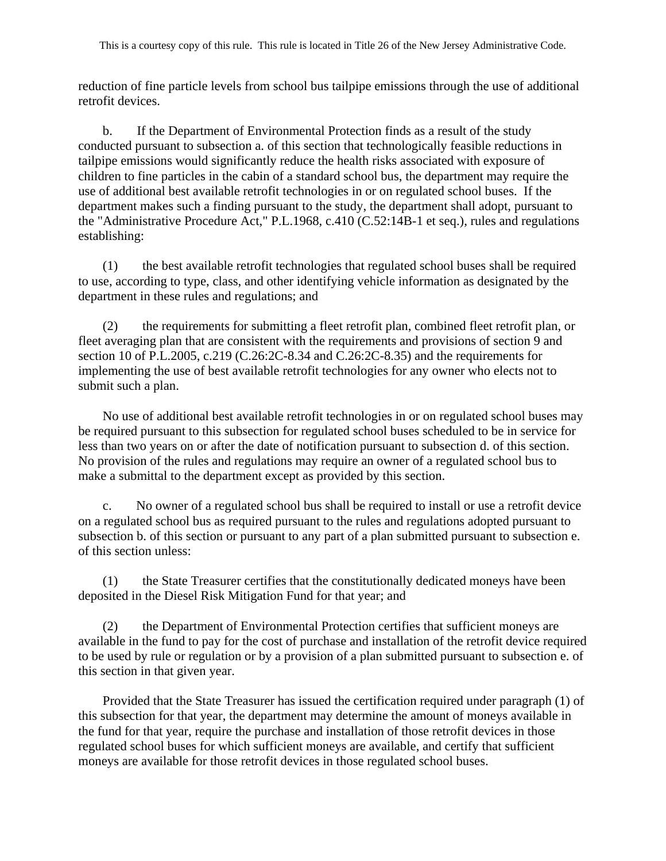reduction of fine particle levels from school bus tailpipe emissions through the use of additional retrofit devices.

b. If the Department of Environmental Protection finds as a result of the study conducted pursuant to subsection a. of this section that technologically feasible reductions in tailpipe emissions would significantly reduce the health risks associated with exposure of children to fine particles in the cabin of a standard school bus, the department may require the use of additional best available retrofit technologies in or on regulated school buses. If the department makes such a finding pursuant to the study, the department shall adopt, pursuant to the "Administrative Procedure Act," P.L.1968, c.410 (C.52:14B-1 et seq.), rules and regulations establishing:

(1) the best available retrofit technologies that regulated school buses shall be required to use, according to type, class, and other identifying vehicle information as designated by the department in these rules and regulations; and

(2) the requirements for submitting a fleet retrofit plan, combined fleet retrofit plan, or fleet averaging plan that are consistent with the requirements and provisions of section 9 and section 10 of P.L.2005, c.219 (C.26:2C-8.34 and C.26:2C-8.35) and the requirements for implementing the use of best available retrofit technologies for any owner who elects not to submit such a plan.

No use of additional best available retrofit technologies in or on regulated school buses may be required pursuant to this subsection for regulated school buses scheduled to be in service for less than two years on or after the date of notification pursuant to subsection d. of this section. No provision of the rules and regulations may require an owner of a regulated school bus to make a submittal to the department except as provided by this section.

c. No owner of a regulated school bus shall be required to install or use a retrofit device on a regulated school bus as required pursuant to the rules and regulations adopted pursuant to subsection b. of this section or pursuant to any part of a plan submitted pursuant to subsection e. of this section unless:

(1) the State Treasurer certifies that the constitutionally dedicated moneys have been deposited in the Diesel Risk Mitigation Fund for that year; and

(2) the Department of Environmental Protection certifies that sufficient moneys are available in the fund to pay for the cost of purchase and installation of the retrofit device required to be used by rule or regulation or by a provision of a plan submitted pursuant to subsection e. of this section in that given year.

Provided that the State Treasurer has issued the certification required under paragraph (1) of this subsection for that year, the department may determine the amount of moneys available in the fund for that year, require the purchase and installation of those retrofit devices in those regulated school buses for which sufficient moneys are available, and certify that sufficient moneys are available for those retrofit devices in those regulated school buses.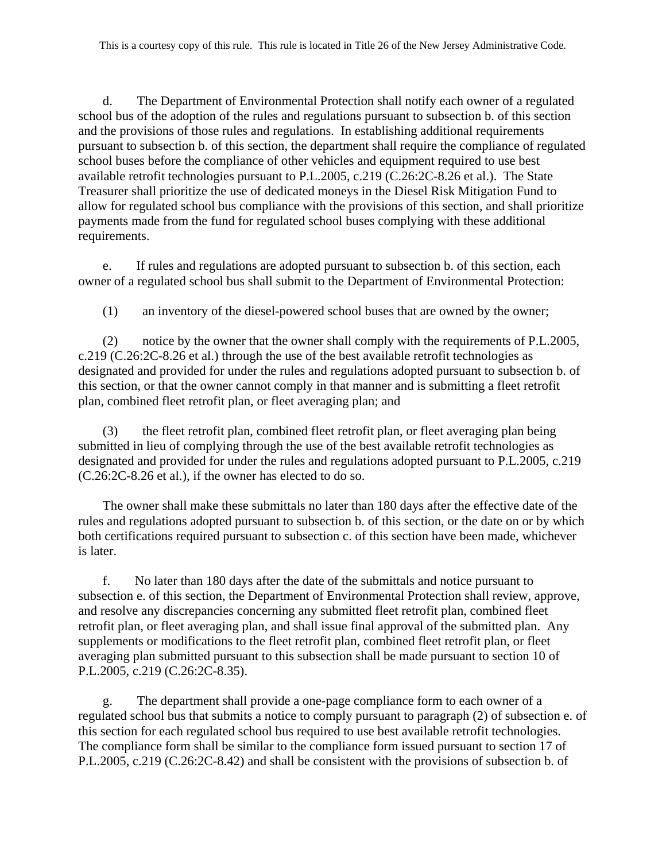d. The Department of Environmental Protection shall notify each owner of a regulated school bus of the adoption of the rules and regulations pursuant to subsection b. of this section and the provisions of those rules and regulations. In establishing additional requirements pursuant to subsection b. of this section, the department shall require the compliance of regulated school buses before the compliance of other vehicles and equipment required to use best available retrofit technologies pursuant to P.L.2005, c.219 (C.26:2C-8.26 et al.). The State Treasurer shall prioritize the use of dedicated moneys in the Diesel Risk Mitigation Fund to allow for regulated school bus compliance with the provisions of this section, and shall prioritize payments made from the fund for regulated school buses complying with these additional requirements.

e. If rules and regulations are adopted pursuant to subsection b. of this section, each owner of a regulated school bus shall submit to the Department of Environmental Protection:

(1) an inventory of the diesel-powered school buses that are owned by the owner;

(2) notice by the owner that the owner shall comply with the requirements of P.L.2005, c.219 (C.26:2C-8.26 et al.) through the use of the best available retrofit technologies as designated and provided for under the rules and regulations adopted pursuant to subsection b. of this section, or that the owner cannot comply in that manner and is submitting a fleet retrofit plan, combined fleet retrofit plan, or fleet averaging plan; and

(3) the fleet retrofit plan, combined fleet retrofit plan, or fleet averaging plan being submitted in lieu of complying through the use of the best available retrofit technologies as designated and provided for under the rules and regulations adopted pursuant to P.L.2005, c.219 (C.26:2C-8.26 et al.), if the owner has elected to do so.

The owner shall make these submittals no later than 180 days after the effective date of the rules and regulations adopted pursuant to subsection b. of this section, or the date on or by which both certifications required pursuant to subsection c. of this section have been made, whichever is later.

f. No later than 180 days after the date of the submittals and notice pursuant to subsection e. of this section, the Department of Environmental Protection shall review, approve, and resolve any discrepancies concerning any submitted fleet retrofit plan, combined fleet retrofit plan, or fleet averaging plan, and shall issue final approval of the submitted plan. Any supplements or modifications to the fleet retrofit plan, combined fleet retrofit plan, or fleet averaging plan submitted pursuant to this subsection shall be made pursuant to section 10 of P.L.2005, c.219 (C.26:2C-8.35).

g. The department shall provide a one-page compliance form to each owner of a regulated school bus that submits a notice to comply pursuant to paragraph (2) of subsection e. of this section for each regulated school bus required to use best available retrofit technologies. The compliance form shall be similar to the compliance form issued pursuant to section 17 of P.L.2005, c.219 (C.26:2C-8.42) and shall be consistent with the provisions of subsection b. of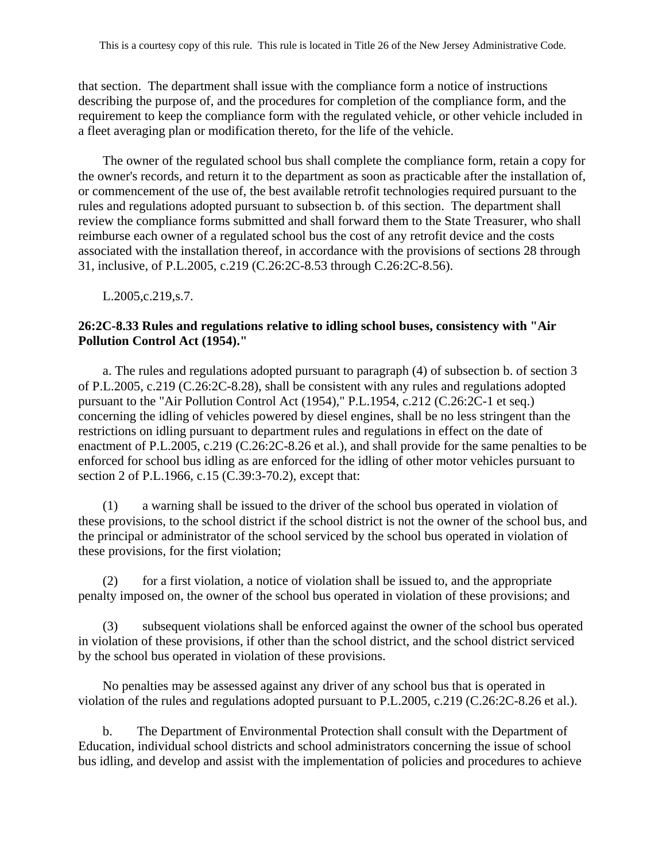that section. The department shall issue with the compliance form a notice of instructions describing the purpose of, and the procedures for completion of the compliance form, and the requirement to keep the compliance form with the regulated vehicle, or other vehicle included in a fleet averaging plan or modification thereto, for the life of the vehicle.

The owner of the regulated school bus shall complete the compliance form, retain a copy for the owner's records, and return it to the department as soon as practicable after the installation of, or commencement of the use of, the best available retrofit technologies required pursuant to the rules and regulations adopted pursuant to subsection b. of this section. The department shall review the compliance forms submitted and shall forward them to the State Treasurer, who shall reimburse each owner of a regulated school bus the cost of any retrofit device and the costs associated with the installation thereof, in accordance with the provisions of sections 28 through 31, inclusive, of P.L.2005, c.219 (C.26:2C-8.53 through C.26:2C-8.56).

L.2005,c.219,s.7.

## **26:2C-8.33 Rules and regulations relative to idling school buses, consistency with "Air Pollution Control Act (1954)."**

a. The rules and regulations adopted pursuant to paragraph (4) of subsection b. of section 3 of P.L.2005, c.219 (C.26:2C-8.28), shall be consistent with any rules and regulations adopted pursuant to the "Air Pollution Control Act (1954)," P.L.1954, c.212 (C.26:2C-1 et seq.) concerning the idling of vehicles powered by diesel engines, shall be no less stringent than the restrictions on idling pursuant to department rules and regulations in effect on the date of enactment of P.L.2005, c.219 (C.26:2C-8.26 et al.), and shall provide for the same penalties to be enforced for school bus idling as are enforced for the idling of other motor vehicles pursuant to section 2 of P.L.1966, c.15 (C.39:3-70.2), except that:

(1) a warning shall be issued to the driver of the school bus operated in violation of these provisions, to the school district if the school district is not the owner of the school bus, and the principal or administrator of the school serviced by the school bus operated in violation of these provisions, for the first violation;

(2) for a first violation, a notice of violation shall be issued to, and the appropriate penalty imposed on, the owner of the school bus operated in violation of these provisions; and

(3) subsequent violations shall be enforced against the owner of the school bus operated in violation of these provisions, if other than the school district, and the school district serviced by the school bus operated in violation of these provisions.

No penalties may be assessed against any driver of any school bus that is operated in violation of the rules and regulations adopted pursuant to P.L.2005, c.219 (C.26:2C-8.26 et al.).

b. The Department of Environmental Protection shall consult with the Department of Education, individual school districts and school administrators concerning the issue of school bus idling, and develop and assist with the implementation of policies and procedures to achieve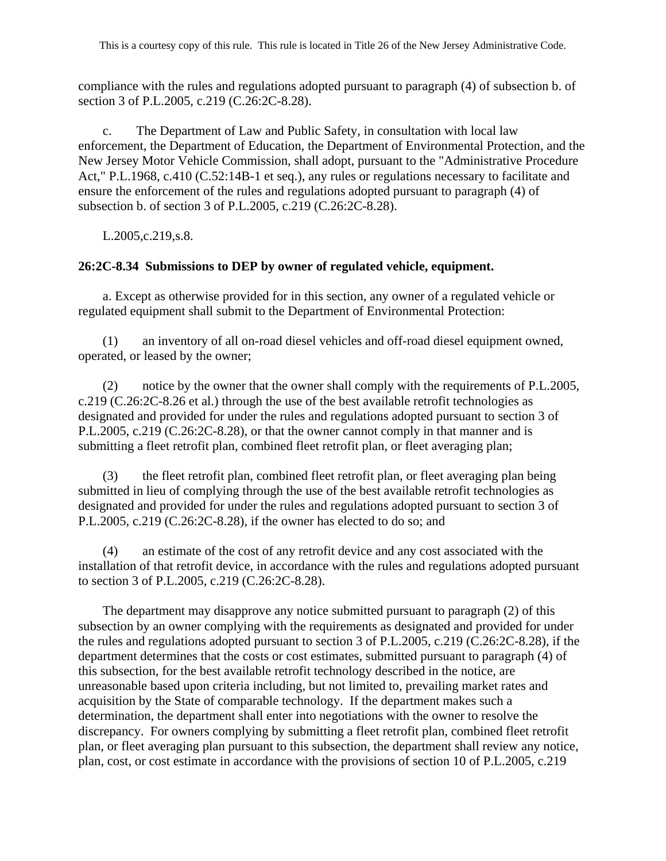compliance with the rules and regulations adopted pursuant to paragraph (4) of subsection b. of section 3 of P.L.2005, c.219 (C.26:2C-8.28).

c. The Department of Law and Public Safety, in consultation with local law enforcement, the Department of Education, the Department of Environmental Protection, and the New Jersey Motor Vehicle Commission, shall adopt, pursuant to the "Administrative Procedure Act," P.L.1968, c.410 (C.52:14B-1 et seq.), any rules or regulations necessary to facilitate and ensure the enforcement of the rules and regulations adopted pursuant to paragraph (4) of subsection b. of section 3 of P.L.2005, c.219 (C.26:2C-8.28).

L.2005,c.219,s.8.

### **26:2C-8.34 Submissions to DEP by owner of regulated vehicle, equipment.**

a. Except as otherwise provided for in this section, any owner of a regulated vehicle or regulated equipment shall submit to the Department of Environmental Protection:

(1) an inventory of all on-road diesel vehicles and off-road diesel equipment owned, operated, or leased by the owner;

(2) notice by the owner that the owner shall comply with the requirements of P.L.2005, c.219 (C.26:2C-8.26 et al.) through the use of the best available retrofit technologies as designated and provided for under the rules and regulations adopted pursuant to section 3 of P.L.2005, c.219 (C.26:2C-8.28), or that the owner cannot comply in that manner and is submitting a fleet retrofit plan, combined fleet retrofit plan, or fleet averaging plan;

(3) the fleet retrofit plan, combined fleet retrofit plan, or fleet averaging plan being submitted in lieu of complying through the use of the best available retrofit technologies as designated and provided for under the rules and regulations adopted pursuant to section 3 of P.L.2005, c.219 (C.26:2C-8.28), if the owner has elected to do so; and

(4) an estimate of the cost of any retrofit device and any cost associated with the installation of that retrofit device, in accordance with the rules and regulations adopted pursuant to section 3 of P.L.2005, c.219 (C.26:2C-8.28).

The department may disapprove any notice submitted pursuant to paragraph (2) of this subsection by an owner complying with the requirements as designated and provided for under the rules and regulations adopted pursuant to section 3 of P.L.2005, c.219 (C.26:2C-8.28), if the department determines that the costs or cost estimates, submitted pursuant to paragraph (4) of this subsection, for the best available retrofit technology described in the notice, are unreasonable based upon criteria including, but not limited to, prevailing market rates and acquisition by the State of comparable technology. If the department makes such a determination, the department shall enter into negotiations with the owner to resolve the discrepancy. For owners complying by submitting a fleet retrofit plan, combined fleet retrofit plan, or fleet averaging plan pursuant to this subsection, the department shall review any notice, plan, cost, or cost estimate in accordance with the provisions of section 10 of P.L.2005, c.219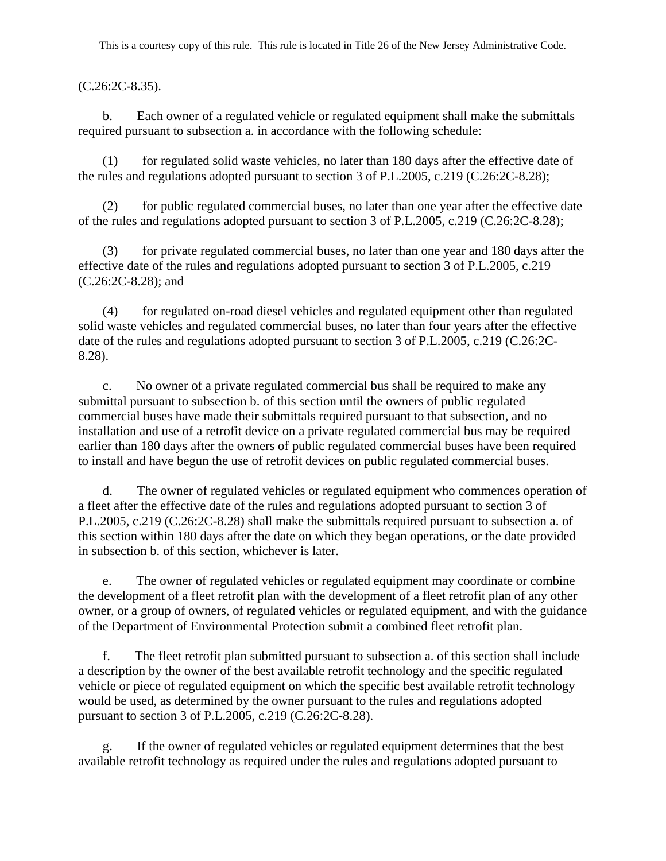## (C.26:2C-8.35).

b. Each owner of a regulated vehicle or regulated equipment shall make the submittals required pursuant to subsection a. in accordance with the following schedule:

(1) for regulated solid waste vehicles, no later than 180 days after the effective date of the rules and regulations adopted pursuant to section 3 of P.L.2005, c.219 (C.26:2C-8.28);

(2) for public regulated commercial buses, no later than one year after the effective date of the rules and regulations adopted pursuant to section 3 of P.L.2005, c.219 (C.26:2C-8.28);

(3) for private regulated commercial buses, no later than one year and 180 days after the effective date of the rules and regulations adopted pursuant to section 3 of P.L.2005, c.219 (C.26:2C-8.28); and

(4) for regulated on-road diesel vehicles and regulated equipment other than regulated solid waste vehicles and regulated commercial buses, no later than four years after the effective date of the rules and regulations adopted pursuant to section 3 of P.L.2005, c.219 (C.26:2C-8.28).

c. No owner of a private regulated commercial bus shall be required to make any submittal pursuant to subsection b. of this section until the owners of public regulated commercial buses have made their submittals required pursuant to that subsection, and no installation and use of a retrofit device on a private regulated commercial bus may be required earlier than 180 days after the owners of public regulated commercial buses have been required to install and have begun the use of retrofit devices on public regulated commercial buses.

d. The owner of regulated vehicles or regulated equipment who commences operation of a fleet after the effective date of the rules and regulations adopted pursuant to section 3 of P.L.2005, c.219 (C.26:2C-8.28) shall make the submittals required pursuant to subsection a. of this section within 180 days after the date on which they began operations, or the date provided in subsection b. of this section, whichever is later.

e. The owner of regulated vehicles or regulated equipment may coordinate or combine the development of a fleet retrofit plan with the development of a fleet retrofit plan of any other owner, or a group of owners, of regulated vehicles or regulated equipment, and with the guidance of the Department of Environmental Protection submit a combined fleet retrofit plan.

f. The fleet retrofit plan submitted pursuant to subsection a. of this section shall include a description by the owner of the best available retrofit technology and the specific regulated vehicle or piece of regulated equipment on which the specific best available retrofit technology would be used, as determined by the owner pursuant to the rules and regulations adopted pursuant to section 3 of P.L.2005, c.219 (C.26:2C-8.28).

g. If the owner of regulated vehicles or regulated equipment determines that the best available retrofit technology as required under the rules and regulations adopted pursuant to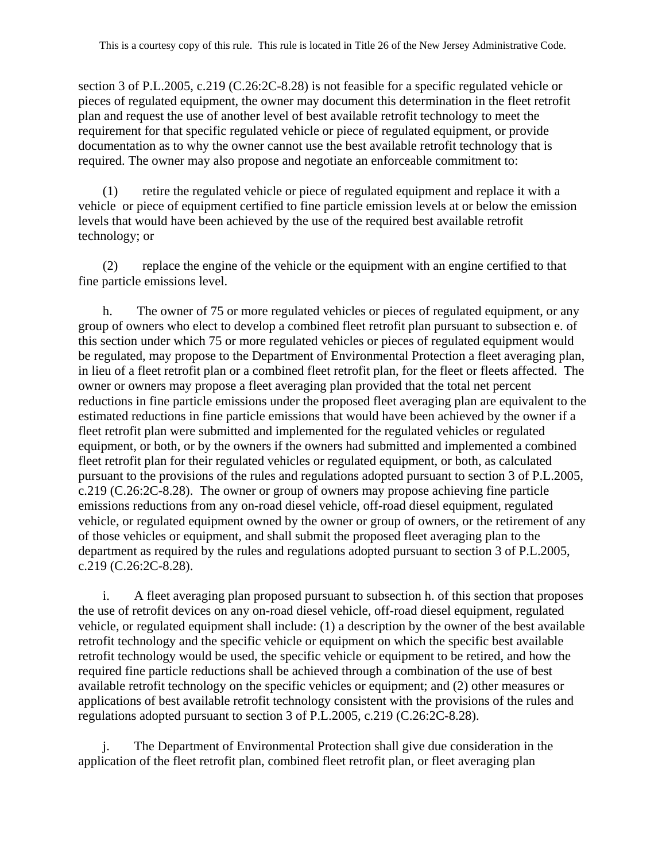section 3 of P.L.2005, c.219 (C.26:2C-8.28) is not feasible for a specific regulated vehicle or pieces of regulated equipment, the owner may document this determination in the fleet retrofit plan and request the use of another level of best available retrofit technology to meet the requirement for that specific regulated vehicle or piece of regulated equipment, or provide documentation as to why the owner cannot use the best available retrofit technology that is required. The owner may also propose and negotiate an enforceable commitment to:

(1) retire the regulated vehicle or piece of regulated equipment and replace it with a vehicle or piece of equipment certified to fine particle emission levels at or below the emission levels that would have been achieved by the use of the required best available retrofit technology; or

(2) replace the engine of the vehicle or the equipment with an engine certified to that fine particle emissions level.

h. The owner of 75 or more regulated vehicles or pieces of regulated equipment, or any group of owners who elect to develop a combined fleet retrofit plan pursuant to subsection e. of this section under which 75 or more regulated vehicles or pieces of regulated equipment would be regulated, may propose to the Department of Environmental Protection a fleet averaging plan, in lieu of a fleet retrofit plan or a combined fleet retrofit plan, for the fleet or fleets affected. The owner or owners may propose a fleet averaging plan provided that the total net percent reductions in fine particle emissions under the proposed fleet averaging plan are equivalent to the estimated reductions in fine particle emissions that would have been achieved by the owner if a fleet retrofit plan were submitted and implemented for the regulated vehicles or regulated equipment, or both, or by the owners if the owners had submitted and implemented a combined fleet retrofit plan for their regulated vehicles or regulated equipment, or both, as calculated pursuant to the provisions of the rules and regulations adopted pursuant to section 3 of P.L.2005, c.219 (C.26:2C-8.28). The owner or group of owners may propose achieving fine particle emissions reductions from any on-road diesel vehicle, off-road diesel equipment, regulated vehicle, or regulated equipment owned by the owner or group of owners, or the retirement of any of those vehicles or equipment, and shall submit the proposed fleet averaging plan to the department as required by the rules and regulations adopted pursuant to section 3 of P.L.2005, c.219 (C.26:2C-8.28).

i. A fleet averaging plan proposed pursuant to subsection h. of this section that proposes the use of retrofit devices on any on-road diesel vehicle, off-road diesel equipment, regulated vehicle, or regulated equipment shall include: (1) a description by the owner of the best available retrofit technology and the specific vehicle or equipment on which the specific best available retrofit technology would be used, the specific vehicle or equipment to be retired, and how the required fine particle reductions shall be achieved through a combination of the use of best available retrofit technology on the specific vehicles or equipment; and (2) other measures or applications of best available retrofit technology consistent with the provisions of the rules and regulations adopted pursuant to section 3 of P.L.2005, c.219 (C.26:2C-8.28).

j. The Department of Environmental Protection shall give due consideration in the application of the fleet retrofit plan, combined fleet retrofit plan, or fleet averaging plan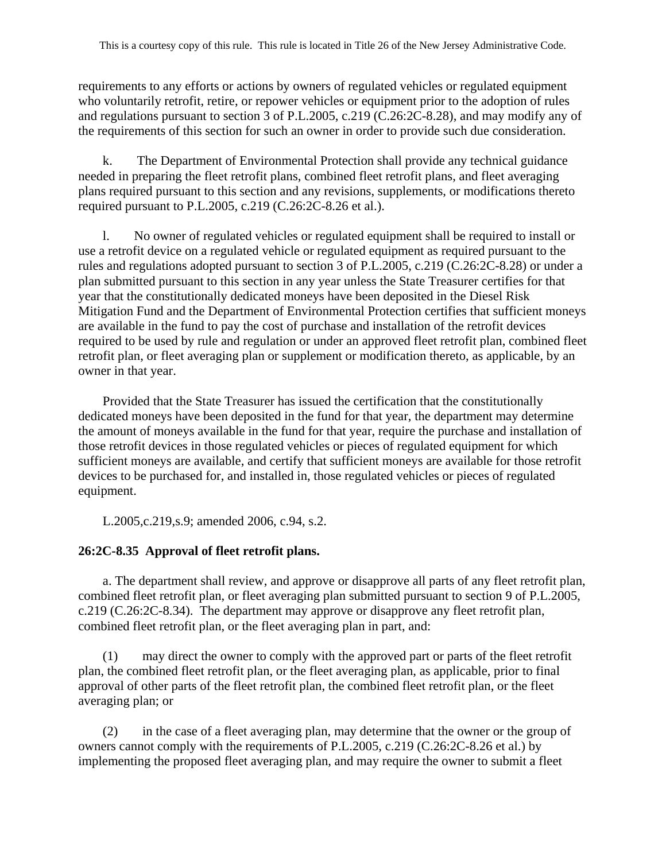requirements to any efforts or actions by owners of regulated vehicles or regulated equipment who voluntarily retrofit, retire, or repower vehicles or equipment prior to the adoption of rules and regulations pursuant to section 3 of P.L.2005, c.219 (C.26:2C-8.28), and may modify any of the requirements of this section for such an owner in order to provide such due consideration.

k. The Department of Environmental Protection shall provide any technical guidance needed in preparing the fleet retrofit plans, combined fleet retrofit plans, and fleet averaging plans required pursuant to this section and any revisions, supplements, or modifications thereto required pursuant to P.L.2005, c.219 (C.26:2C-8.26 et al.).

l. No owner of regulated vehicles or regulated equipment shall be required to install or use a retrofit device on a regulated vehicle or regulated equipment as required pursuant to the rules and regulations adopted pursuant to section 3 of P.L.2005, c.219 (C.26:2C-8.28) or under a plan submitted pursuant to this section in any year unless the State Treasurer certifies for that year that the constitutionally dedicated moneys have been deposited in the Diesel Risk Mitigation Fund and the Department of Environmental Protection certifies that sufficient moneys are available in the fund to pay the cost of purchase and installation of the retrofit devices required to be used by rule and regulation or under an approved fleet retrofit plan, combined fleet retrofit plan, or fleet averaging plan or supplement or modification thereto, as applicable, by an owner in that year.

Provided that the State Treasurer has issued the certification that the constitutionally dedicated moneys have been deposited in the fund for that year, the department may determine the amount of moneys available in the fund for that year, require the purchase and installation of those retrofit devices in those regulated vehicles or pieces of regulated equipment for which sufficient moneys are available, and certify that sufficient moneys are available for those retrofit devices to be purchased for, and installed in, those regulated vehicles or pieces of regulated equipment.

L.2005,c.219,s.9; amended 2006, c.94, s.2.

# **26:2C-8.35 Approval of fleet retrofit plans.**

a. The department shall review, and approve or disapprove all parts of any fleet retrofit plan, combined fleet retrofit plan, or fleet averaging plan submitted pursuant to section 9 of P.L.2005, c.219 (C.26:2C-8.34). The department may approve or disapprove any fleet retrofit plan, combined fleet retrofit plan, or the fleet averaging plan in part, and:

(1) may direct the owner to comply with the approved part or parts of the fleet retrofit plan, the combined fleet retrofit plan, or the fleet averaging plan, as applicable, prior to final approval of other parts of the fleet retrofit plan, the combined fleet retrofit plan, or the fleet averaging plan; or

(2) in the case of a fleet averaging plan, may determine that the owner or the group of owners cannot comply with the requirements of P.L.2005, c.219 (C.26:2C-8.26 et al.) by implementing the proposed fleet averaging plan, and may require the owner to submit a fleet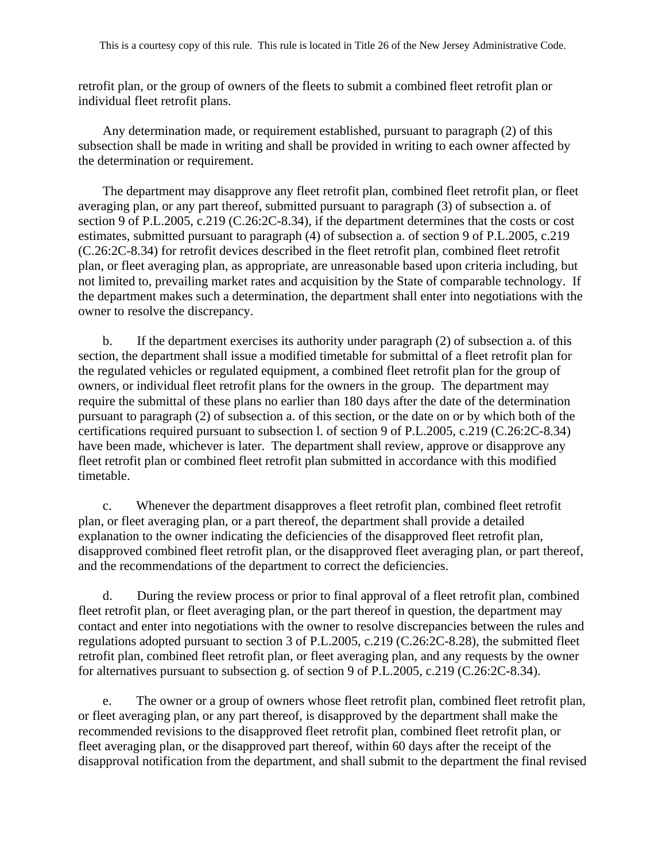retrofit plan, or the group of owners of the fleets to submit a combined fleet retrofit plan or individual fleet retrofit plans.

Any determination made, or requirement established, pursuant to paragraph (2) of this subsection shall be made in writing and shall be provided in writing to each owner affected by the determination or requirement.

The department may disapprove any fleet retrofit plan, combined fleet retrofit plan, or fleet averaging plan, or any part thereof, submitted pursuant to paragraph (3) of subsection a. of section 9 of P.L.2005, c.219 (C.26:2C-8.34), if the department determines that the costs or cost estimates, submitted pursuant to paragraph (4) of subsection a. of section 9 of P.L.2005, c.219 (C.26:2C-8.34) for retrofit devices described in the fleet retrofit plan, combined fleet retrofit plan, or fleet averaging plan, as appropriate, are unreasonable based upon criteria including, but not limited to, prevailing market rates and acquisition by the State of comparable technology. If the department makes such a determination, the department shall enter into negotiations with the owner to resolve the discrepancy.

b. If the department exercises its authority under paragraph (2) of subsection a. of this section, the department shall issue a modified timetable for submittal of a fleet retrofit plan for the regulated vehicles or regulated equipment, a combined fleet retrofit plan for the group of owners, or individual fleet retrofit plans for the owners in the group. The department may require the submittal of these plans no earlier than 180 days after the date of the determination pursuant to paragraph (2) of subsection a. of this section, or the date on or by which both of the certifications required pursuant to subsection l. of section 9 of P.L.2005, c.219 (C.26:2C-8.34) have been made, whichever is later. The department shall review, approve or disapprove any fleet retrofit plan or combined fleet retrofit plan submitted in accordance with this modified timetable.

c. Whenever the department disapproves a fleet retrofit plan, combined fleet retrofit plan, or fleet averaging plan, or a part thereof, the department shall provide a detailed explanation to the owner indicating the deficiencies of the disapproved fleet retrofit plan, disapproved combined fleet retrofit plan, or the disapproved fleet averaging plan, or part thereof, and the recommendations of the department to correct the deficiencies.

d. During the review process or prior to final approval of a fleet retrofit plan, combined fleet retrofit plan, or fleet averaging plan, or the part thereof in question, the department may contact and enter into negotiations with the owner to resolve discrepancies between the rules and regulations adopted pursuant to section 3 of P.L.2005, c.219 (C.26:2C-8.28), the submitted fleet retrofit plan, combined fleet retrofit plan, or fleet averaging plan, and any requests by the owner for alternatives pursuant to subsection g. of section 9 of P.L.2005, c.219 (C.26:2C-8.34).

e. The owner or a group of owners whose fleet retrofit plan, combined fleet retrofit plan, or fleet averaging plan, or any part thereof, is disapproved by the department shall make the recommended revisions to the disapproved fleet retrofit plan, combined fleet retrofit plan, or fleet averaging plan, or the disapproved part thereof, within 60 days after the receipt of the disapproval notification from the department, and shall submit to the department the final revised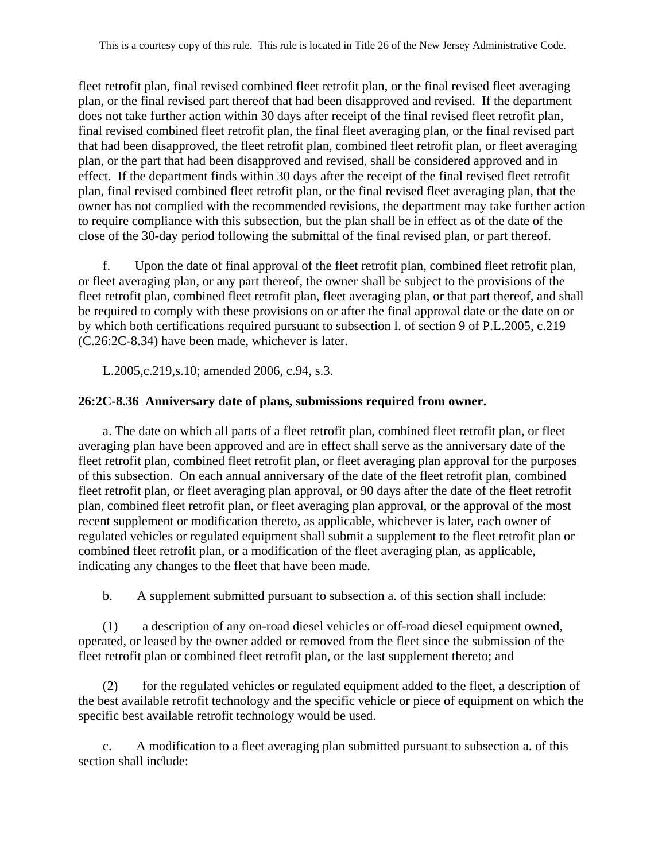fleet retrofit plan, final revised combined fleet retrofit plan, or the final revised fleet averaging plan, or the final revised part thereof that had been disapproved and revised. If the department does not take further action within 30 days after receipt of the final revised fleet retrofit plan, final revised combined fleet retrofit plan, the final fleet averaging plan, or the final revised part that had been disapproved, the fleet retrofit plan, combined fleet retrofit plan, or fleet averaging plan, or the part that had been disapproved and revised, shall be considered approved and in effect. If the department finds within 30 days after the receipt of the final revised fleet retrofit plan, final revised combined fleet retrofit plan, or the final revised fleet averaging plan, that the owner has not complied with the recommended revisions, the department may take further action to require compliance with this subsection, but the plan shall be in effect as of the date of the close of the 30-day period following the submittal of the final revised plan, or part thereof.

f. Upon the date of final approval of the fleet retrofit plan, combined fleet retrofit plan, or fleet averaging plan, or any part thereof, the owner shall be subject to the provisions of the fleet retrofit plan, combined fleet retrofit plan, fleet averaging plan, or that part thereof, and shall be required to comply with these provisions on or after the final approval date or the date on or by which both certifications required pursuant to subsection l. of section 9 of P.L.2005, c.219 (C.26:2C-8.34) have been made, whichever is later.

L.2005,c.219,s.10; amended 2006, c.94, s.3.

# **26:2C-8.36 Anniversary date of plans, submissions required from owner.**

a. The date on which all parts of a fleet retrofit plan, combined fleet retrofit plan, or fleet averaging plan have been approved and are in effect shall serve as the anniversary date of the fleet retrofit plan, combined fleet retrofit plan, or fleet averaging plan approval for the purposes of this subsection. On each annual anniversary of the date of the fleet retrofit plan, combined fleet retrofit plan, or fleet averaging plan approval, or 90 days after the date of the fleet retrofit plan, combined fleet retrofit plan, or fleet averaging plan approval, or the approval of the most recent supplement or modification thereto, as applicable, whichever is later, each owner of regulated vehicles or regulated equipment shall submit a supplement to the fleet retrofit plan or combined fleet retrofit plan, or a modification of the fleet averaging plan, as applicable, indicating any changes to the fleet that have been made.

b. A supplement submitted pursuant to subsection a. of this section shall include:

(1) a description of any on-road diesel vehicles or off-road diesel equipment owned, operated, or leased by the owner added or removed from the fleet since the submission of the fleet retrofit plan or combined fleet retrofit plan, or the last supplement thereto; and

(2) for the regulated vehicles or regulated equipment added to the fleet, a description of the best available retrofit technology and the specific vehicle or piece of equipment on which the specific best available retrofit technology would be used.

c. A modification to a fleet averaging plan submitted pursuant to subsection a. of this section shall include: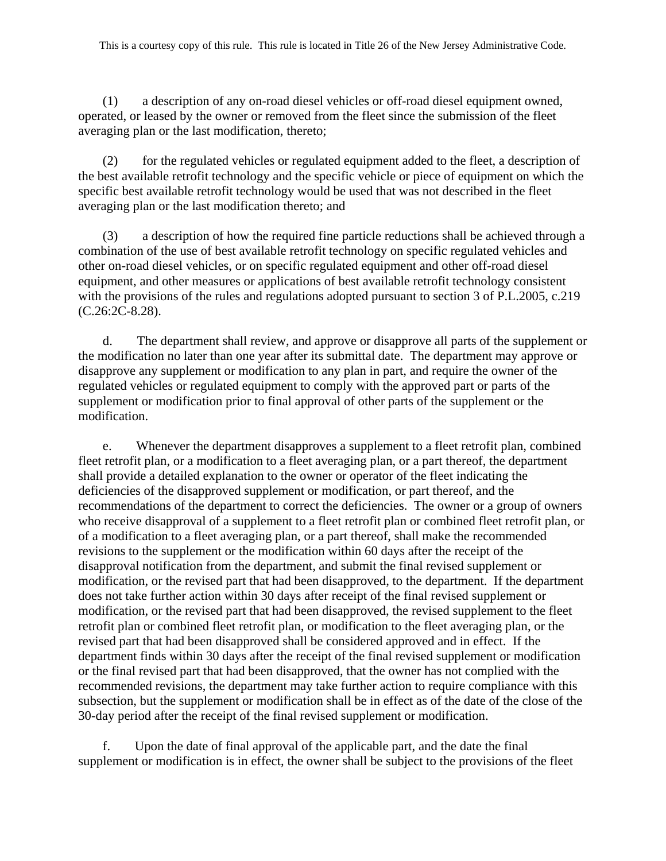(1) a description of any on-road diesel vehicles or off-road diesel equipment owned, operated, or leased by the owner or removed from the fleet since the submission of the fleet averaging plan or the last modification, thereto;

(2) for the regulated vehicles or regulated equipment added to the fleet, a description of the best available retrofit technology and the specific vehicle or piece of equipment on which the specific best available retrofit technology would be used that was not described in the fleet averaging plan or the last modification thereto; and

(3) a description of how the required fine particle reductions shall be achieved through a combination of the use of best available retrofit technology on specific regulated vehicles and other on-road diesel vehicles, or on specific regulated equipment and other off-road diesel equipment, and other measures or applications of best available retrofit technology consistent with the provisions of the rules and regulations adopted pursuant to section 3 of P.L.2005, c.219 (C.26:2C-8.28).

d. The department shall review, and approve or disapprove all parts of the supplement or the modification no later than one year after its submittal date. The department may approve or disapprove any supplement or modification to any plan in part, and require the owner of the regulated vehicles or regulated equipment to comply with the approved part or parts of the supplement or modification prior to final approval of other parts of the supplement or the modification.

e. Whenever the department disapproves a supplement to a fleet retrofit plan, combined fleet retrofit plan, or a modification to a fleet averaging plan, or a part thereof, the department shall provide a detailed explanation to the owner or operator of the fleet indicating the deficiencies of the disapproved supplement or modification, or part thereof, and the recommendations of the department to correct the deficiencies. The owner or a group of owners who receive disapproval of a supplement to a fleet retrofit plan or combined fleet retrofit plan, or of a modification to a fleet averaging plan, or a part thereof, shall make the recommended revisions to the supplement or the modification within 60 days after the receipt of the disapproval notification from the department, and submit the final revised supplement or modification, or the revised part that had been disapproved, to the department. If the department does not take further action within 30 days after receipt of the final revised supplement or modification, or the revised part that had been disapproved, the revised supplement to the fleet retrofit plan or combined fleet retrofit plan, or modification to the fleet averaging plan, or the revised part that had been disapproved shall be considered approved and in effect. If the department finds within 30 days after the receipt of the final revised supplement or modification or the final revised part that had been disapproved, that the owner has not complied with the recommended revisions, the department may take further action to require compliance with this subsection, but the supplement or modification shall be in effect as of the date of the close of the 30-day period after the receipt of the final revised supplement or modification.

f. Upon the date of final approval of the applicable part, and the date the final supplement or modification is in effect, the owner shall be subject to the provisions of the fleet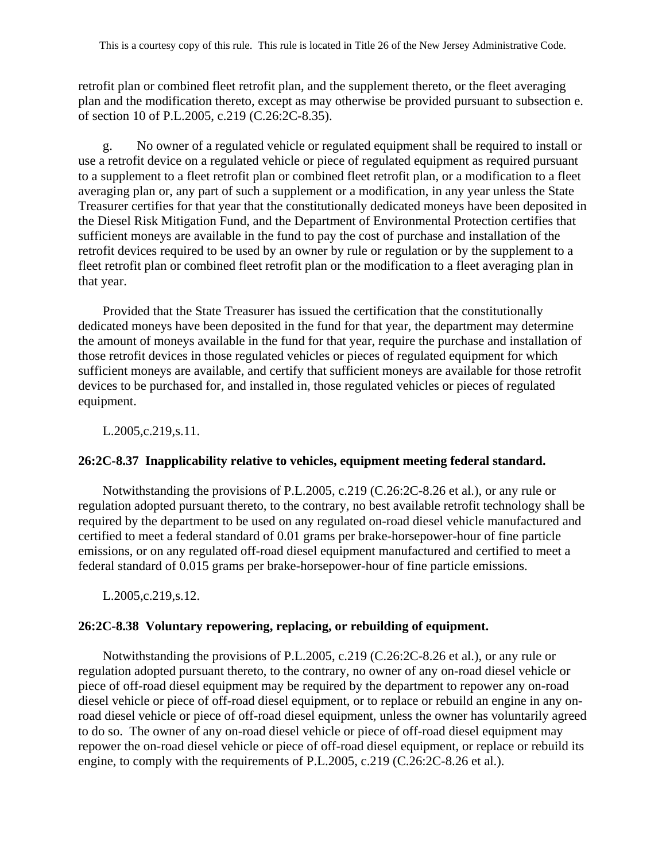retrofit plan or combined fleet retrofit plan, and the supplement thereto, or the fleet averaging plan and the modification thereto, except as may otherwise be provided pursuant to subsection e. of section 10 of P.L.2005, c.219 (C.26:2C-8.35).

g. No owner of a regulated vehicle or regulated equipment shall be required to install or use a retrofit device on a regulated vehicle or piece of regulated equipment as required pursuant to a supplement to a fleet retrofit plan or combined fleet retrofit plan, or a modification to a fleet averaging plan or, any part of such a supplement or a modification, in any year unless the State Treasurer certifies for that year that the constitutionally dedicated moneys have been deposited in the Diesel Risk Mitigation Fund, and the Department of Environmental Protection certifies that sufficient moneys are available in the fund to pay the cost of purchase and installation of the retrofit devices required to be used by an owner by rule or regulation or by the supplement to a fleet retrofit plan or combined fleet retrofit plan or the modification to a fleet averaging plan in that year.

Provided that the State Treasurer has issued the certification that the constitutionally dedicated moneys have been deposited in the fund for that year, the department may determine the amount of moneys available in the fund for that year, require the purchase and installation of those retrofit devices in those regulated vehicles or pieces of regulated equipment for which sufficient moneys are available, and certify that sufficient moneys are available for those retrofit devices to be purchased for, and installed in, those regulated vehicles or pieces of regulated equipment.

L.2005,c.219,s.11.

## **26:2C-8.37 Inapplicability relative to vehicles, equipment meeting federal standard.**

Notwithstanding the provisions of P.L.2005, c.219 (C.26:2C-8.26 et al.), or any rule or regulation adopted pursuant thereto, to the contrary, no best available retrofit technology shall be required by the department to be used on any regulated on-road diesel vehicle manufactured and certified to meet a federal standard of 0.01 grams per brake-horsepower-hour of fine particle emissions, or on any regulated off-road diesel equipment manufactured and certified to meet a federal standard of 0.015 grams per brake-horsepower-hour of fine particle emissions.

L.2005,c.219,s.12.

## **26:2C-8.38 Voluntary repowering, replacing, or rebuilding of equipment.**

Notwithstanding the provisions of P.L.2005, c.219 (C.26:2C-8.26 et al.), or any rule or regulation adopted pursuant thereto, to the contrary, no owner of any on-road diesel vehicle or piece of off-road diesel equipment may be required by the department to repower any on-road diesel vehicle or piece of off-road diesel equipment, or to replace or rebuild an engine in any onroad diesel vehicle or piece of off-road diesel equipment, unless the owner has voluntarily agreed to do so. The owner of any on-road diesel vehicle or piece of off-road diesel equipment may repower the on-road diesel vehicle or piece of off-road diesel equipment, or replace or rebuild its engine, to comply with the requirements of P.L.2005, c.219 (C.26:2C-8.26 et al.).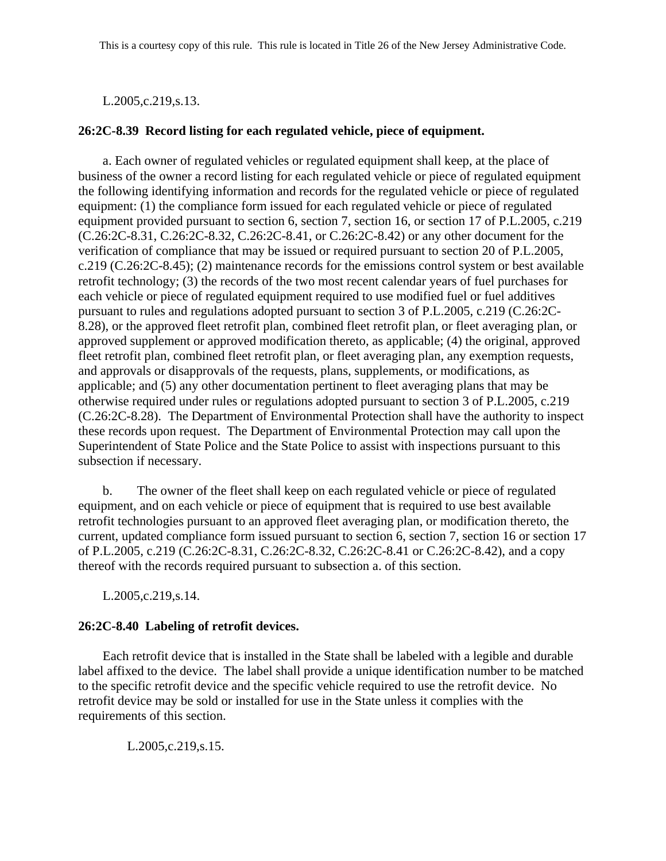L.2005,c.219,s.13.

### **26:2C-8.39 Record listing for each regulated vehicle, piece of equipment.**

a. Each owner of regulated vehicles or regulated equipment shall keep, at the place of business of the owner a record listing for each regulated vehicle or piece of regulated equipment the following identifying information and records for the regulated vehicle or piece of regulated equipment: (1) the compliance form issued for each regulated vehicle or piece of regulated equipment provided pursuant to section 6, section 7, section 16, or section 17 of P.L.2005, c.219 (C.26:2C-8.31, C.26:2C-8.32, C.26:2C-8.41, or C.26:2C-8.42) or any other document for the verification of compliance that may be issued or required pursuant to section 20 of P.L.2005, c.219 (C.26:2C-8.45); (2) maintenance records for the emissions control system or best available retrofit technology; (3) the records of the two most recent calendar years of fuel purchases for each vehicle or piece of regulated equipment required to use modified fuel or fuel additives pursuant to rules and regulations adopted pursuant to section 3 of P.L.2005, c.219 (C.26:2C-8.28), or the approved fleet retrofit plan, combined fleet retrofit plan, or fleet averaging plan, or approved supplement or approved modification thereto, as applicable; (4) the original, approved fleet retrofit plan, combined fleet retrofit plan, or fleet averaging plan, any exemption requests, and approvals or disapprovals of the requests, plans, supplements, or modifications, as applicable; and (5) any other documentation pertinent to fleet averaging plans that may be otherwise required under rules or regulations adopted pursuant to section 3 of P.L.2005, c.219 (C.26:2C-8.28). The Department of Environmental Protection shall have the authority to inspect these records upon request. The Department of Environmental Protection may call upon the Superintendent of State Police and the State Police to assist with inspections pursuant to this subsection if necessary.

b. The owner of the fleet shall keep on each regulated vehicle or piece of regulated equipment, and on each vehicle or piece of equipment that is required to use best available retrofit technologies pursuant to an approved fleet averaging plan, or modification thereto, the current, updated compliance form issued pursuant to section 6, section 7, section 16 or section 17 of P.L.2005, c.219 (C.26:2C-8.31, C.26:2C-8.32, C.26:2C-8.41 or C.26:2C-8.42), and a copy thereof with the records required pursuant to subsection a. of this section.

L.2005,c.219,s.14.

## **26:2C-8.40 Labeling of retrofit devices.**

Each retrofit device that is installed in the State shall be labeled with a legible and durable label affixed to the device. The label shall provide a unique identification number to be matched to the specific retrofit device and the specific vehicle required to use the retrofit device. No retrofit device may be sold or installed for use in the State unless it complies with the requirements of this section.

L.2005,c.219,s.15.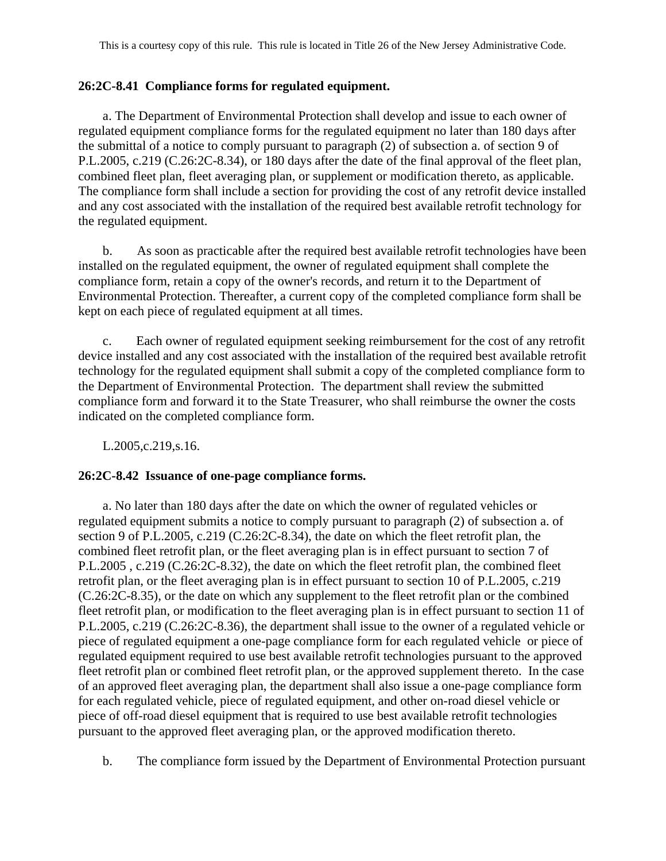## **26:2C-8.41 Compliance forms for regulated equipment.**

a. The Department of Environmental Protection shall develop and issue to each owner of regulated equipment compliance forms for the regulated equipment no later than 180 days after the submittal of a notice to comply pursuant to paragraph (2) of subsection a. of section 9 of P.L.2005, c.219 (C.26:2C-8.34), or 180 days after the date of the final approval of the fleet plan, combined fleet plan, fleet averaging plan, or supplement or modification thereto, as applicable. The compliance form shall include a section for providing the cost of any retrofit device installed and any cost associated with the installation of the required best available retrofit technology for the regulated equipment.

b. As soon as practicable after the required best available retrofit technologies have been installed on the regulated equipment, the owner of regulated equipment shall complete the compliance form, retain a copy of the owner's records, and return it to the Department of Environmental Protection. Thereafter, a current copy of the completed compliance form shall be kept on each piece of regulated equipment at all times.

Each owner of regulated equipment seeking reimbursement for the cost of any retrofit device installed and any cost associated with the installation of the required best available retrofit technology for the regulated equipment shall submit a copy of the completed compliance form to the Department of Environmental Protection. The department shall review the submitted compliance form and forward it to the State Treasurer, who shall reimburse the owner the costs indicated on the completed compliance form.

L.2005,c.219,s.16.

## **26:2C-8.42 Issuance of one-page compliance forms.**

a. No later than 180 days after the date on which the owner of regulated vehicles or regulated equipment submits a notice to comply pursuant to paragraph (2) of subsection a. of section 9 of P.L.2005, c.219 (C.26:2C-8.34), the date on which the fleet retrofit plan, the combined fleet retrofit plan, or the fleet averaging plan is in effect pursuant to section 7 of P.L.2005 , c.219 (C.26:2C-8.32), the date on which the fleet retrofit plan, the combined fleet retrofit plan, or the fleet averaging plan is in effect pursuant to section 10 of P.L.2005, c.219 (C.26:2C-8.35), or the date on which any supplement to the fleet retrofit plan or the combined fleet retrofit plan, or modification to the fleet averaging plan is in effect pursuant to section 11 of P.L.2005, c.219 (C.26:2C-8.36), the department shall issue to the owner of a regulated vehicle or piece of regulated equipment a one-page compliance form for each regulated vehicle or piece of regulated equipment required to use best available retrofit technologies pursuant to the approved fleet retrofit plan or combined fleet retrofit plan, or the approved supplement thereto. In the case of an approved fleet averaging plan, the department shall also issue a one-page compliance form for each regulated vehicle, piece of regulated equipment, and other on-road diesel vehicle or piece of off-road diesel equipment that is required to use best available retrofit technologies pursuant to the approved fleet averaging plan, or the approved modification thereto.

b. The compliance form issued by the Department of Environmental Protection pursuant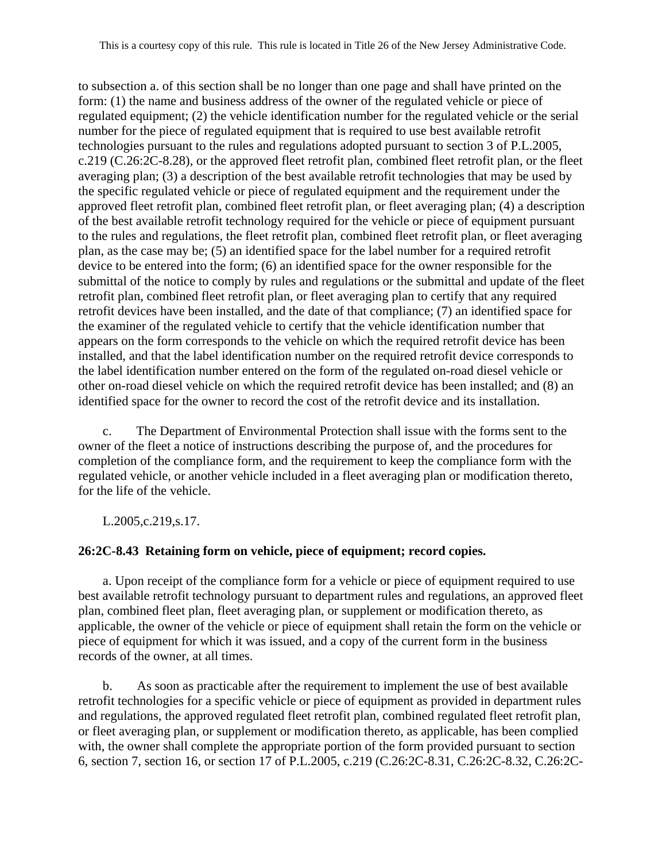to subsection a. of this section shall be no longer than one page and shall have printed on the form: (1) the name and business address of the owner of the regulated vehicle or piece of regulated equipment; (2) the vehicle identification number for the regulated vehicle or the serial number for the piece of regulated equipment that is required to use best available retrofit technologies pursuant to the rules and regulations adopted pursuant to section 3 of P.L.2005, c.219 (C.26:2C-8.28), or the approved fleet retrofit plan, combined fleet retrofit plan, or the fleet averaging plan; (3) a description of the best available retrofit technologies that may be used by the specific regulated vehicle or piece of regulated equipment and the requirement under the approved fleet retrofit plan, combined fleet retrofit plan, or fleet averaging plan; (4) a description of the best available retrofit technology required for the vehicle or piece of equipment pursuant to the rules and regulations, the fleet retrofit plan, combined fleet retrofit plan, or fleet averaging plan, as the case may be; (5) an identified space for the label number for a required retrofit device to be entered into the form; (6) an identified space for the owner responsible for the submittal of the notice to comply by rules and regulations or the submittal and update of the fleet retrofit plan, combined fleet retrofit plan, or fleet averaging plan to certify that any required retrofit devices have been installed, and the date of that compliance; (7) an identified space for the examiner of the regulated vehicle to certify that the vehicle identification number that appears on the form corresponds to the vehicle on which the required retrofit device has been installed, and that the label identification number on the required retrofit device corresponds to the label identification number entered on the form of the regulated on-road diesel vehicle or other on-road diesel vehicle on which the required retrofit device has been installed; and (8) an identified space for the owner to record the cost of the retrofit device and its installation.

c. The Department of Environmental Protection shall issue with the forms sent to the owner of the fleet a notice of instructions describing the purpose of, and the procedures for completion of the compliance form, and the requirement to keep the compliance form with the regulated vehicle, or another vehicle included in a fleet averaging plan or modification thereto, for the life of the vehicle.

L.2005,c.219,s.17.

## **26:2C-8.43 Retaining form on vehicle, piece of equipment; record copies.**

a. Upon receipt of the compliance form for a vehicle or piece of equipment required to use best available retrofit technology pursuant to department rules and regulations, an approved fleet plan, combined fleet plan, fleet averaging plan, or supplement or modification thereto, as applicable, the owner of the vehicle or piece of equipment shall retain the form on the vehicle or piece of equipment for which it was issued, and a copy of the current form in the business records of the owner, at all times.

b. As soon as practicable after the requirement to implement the use of best available retrofit technologies for a specific vehicle or piece of equipment as provided in department rules and regulations, the approved regulated fleet retrofit plan, combined regulated fleet retrofit plan, or fleet averaging plan, or supplement or modification thereto, as applicable, has been complied with, the owner shall complete the appropriate portion of the form provided pursuant to section 6, section 7, section 16, or section 17 of P.L.2005, c.219 (C.26:2C-8.31, C.26:2C-8.32, C.26:2C-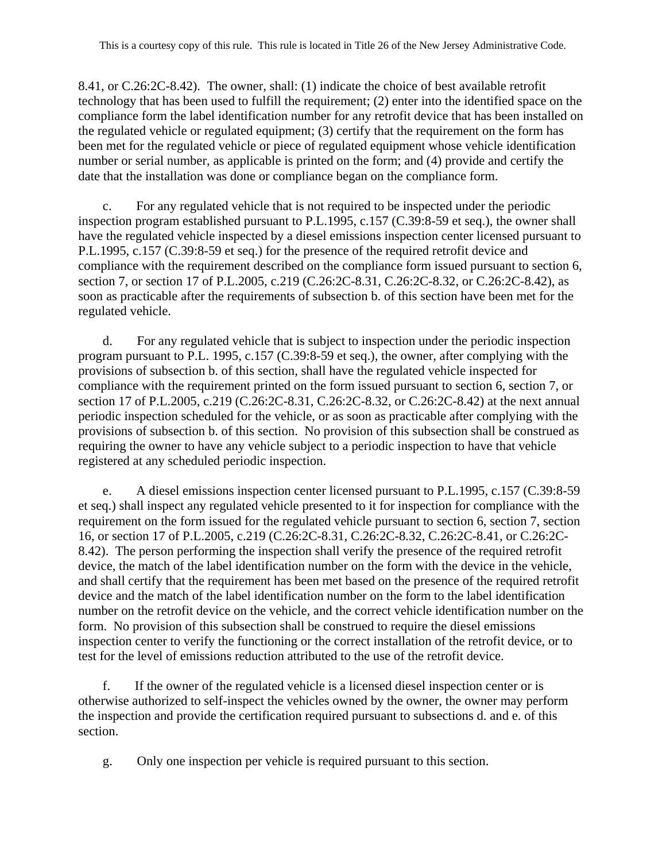8.41, or C.26:2C-8.42). The owner, shall: (1) indicate the choice of best available retrofit technology that has been used to fulfill the requirement; (2) enter into the identified space on the compliance form the label identification number for any retrofit device that has been installed on the regulated vehicle or regulated equipment; (3) certify that the requirement on the form has been met for the regulated vehicle or piece of regulated equipment whose vehicle identification number or serial number, as applicable is printed on the form; and (4) provide and certify the date that the installation was done or compliance began on the compliance form.

c. For any regulated vehicle that is not required to be inspected under the periodic inspection program established pursuant to P.L.1995, c.157 (C.39:8-59 et seq.), the owner shall have the regulated vehicle inspected by a diesel emissions inspection center licensed pursuant to P.L.1995, c.157 (C.39:8-59 et seq.) for the presence of the required retrofit device and compliance with the requirement described on the compliance form issued pursuant to section 6, section 7, or section 17 of P.L.2005, c.219 (C.26:2C-8.31, C.26:2C-8.32, or C.26:2C-8.42), as soon as practicable after the requirements of subsection b. of this section have been met for the regulated vehicle.

d. For any regulated vehicle that is subject to inspection under the periodic inspection program pursuant to P.L. 1995, c.157 (C.39:8-59 et seq.), the owner, after complying with the provisions of subsection b. of this section, shall have the regulated vehicle inspected for compliance with the requirement printed on the form issued pursuant to section 6, section 7, or section 17 of P.L.2005, c.219 (C.26:2C-8.31, C.26:2C-8.32, or C.26:2C-8.42) at the next annual periodic inspection scheduled for the vehicle, or as soon as practicable after complying with the provisions of subsection b. of this section. No provision of this subsection shall be construed as requiring the owner to have any vehicle subject to a periodic inspection to have that vehicle registered at any scheduled periodic inspection.

e. A diesel emissions inspection center licensed pursuant to P.L.1995, c.157 (C.39:8-59 et seq.) shall inspect any regulated vehicle presented to it for inspection for compliance with the requirement on the form issued for the regulated vehicle pursuant to section 6, section 7, section 16, or section 17 of P.L.2005, c.219 (C.26:2C-8.31, C.26:2C-8.32, C.26:2C-8.41, or C.26:2C-8.42). The person performing the inspection shall verify the presence of the required retrofit device, the match of the label identification number on the form with the device in the vehicle, and shall certify that the requirement has been met based on the presence of the required retrofit device and the match of the label identification number on the form to the label identification number on the retrofit device on the vehicle, and the correct vehicle identification number on the form. No provision of this subsection shall be construed to require the diesel emissions inspection center to verify the functioning or the correct installation of the retrofit device, or to test for the level of emissions reduction attributed to the use of the retrofit device.

f. If the owner of the regulated vehicle is a licensed diesel inspection center or is otherwise authorized to self-inspect the vehicles owned by the owner, the owner may perform the inspection and provide the certification required pursuant to subsections d. and e. of this section.

g. Only one inspection per vehicle is required pursuant to this section.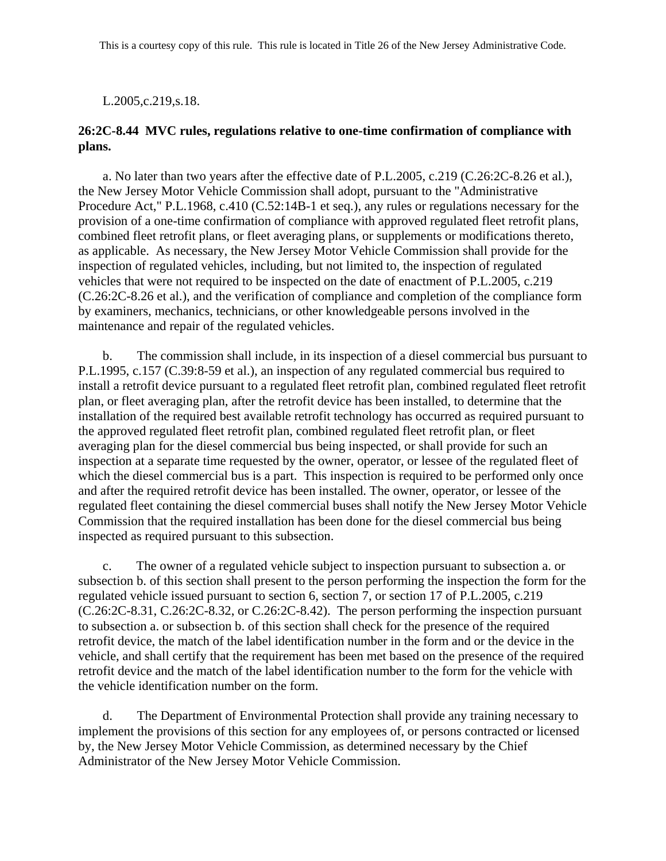L.2005,c.219,s.18.

### **26:2C-8.44 MVC rules, regulations relative to one-time confirmation of compliance with plans.**

a. No later than two years after the effective date of P.L.2005, c.219 (C.26:2C-8.26 et al.), the New Jersey Motor Vehicle Commission shall adopt, pursuant to the "Administrative Procedure Act," P.L.1968, c.410 (C.52:14B-1 et seq.), any rules or regulations necessary for the provision of a one-time confirmation of compliance with approved regulated fleet retrofit plans, combined fleet retrofit plans, or fleet averaging plans, or supplements or modifications thereto, as applicable. As necessary, the New Jersey Motor Vehicle Commission shall provide for the inspection of regulated vehicles, including, but not limited to, the inspection of regulated vehicles that were not required to be inspected on the date of enactment of P.L.2005, c.219 (C.26:2C-8.26 et al.), and the verification of compliance and completion of the compliance form by examiners, mechanics, technicians, or other knowledgeable persons involved in the maintenance and repair of the regulated vehicles.

b. The commission shall include, in its inspection of a diesel commercial bus pursuant to P.L.1995, c.157 (C.39:8-59 et al.), an inspection of any regulated commercial bus required to install a retrofit device pursuant to a regulated fleet retrofit plan, combined regulated fleet retrofit plan, or fleet averaging plan, after the retrofit device has been installed, to determine that the installation of the required best available retrofit technology has occurred as required pursuant to the approved regulated fleet retrofit plan, combined regulated fleet retrofit plan, or fleet averaging plan for the diesel commercial bus being inspected, or shall provide for such an inspection at a separate time requested by the owner, operator, or lessee of the regulated fleet of which the diesel commercial bus is a part. This inspection is required to be performed only once and after the required retrofit device has been installed. The owner, operator, or lessee of the regulated fleet containing the diesel commercial buses shall notify the New Jersey Motor Vehicle Commission that the required installation has been done for the diesel commercial bus being inspected as required pursuant to this subsection.

c. The owner of a regulated vehicle subject to inspection pursuant to subsection a. or subsection b. of this section shall present to the person performing the inspection the form for the regulated vehicle issued pursuant to section 6, section 7, or section 17 of P.L.2005, c.219 (C.26:2C-8.31, C.26:2C-8.32, or C.26:2C-8.42). The person performing the inspection pursuant to subsection a. or subsection b. of this section shall check for the presence of the required retrofit device, the match of the label identification number in the form and or the device in the vehicle, and shall certify that the requirement has been met based on the presence of the required retrofit device and the match of the label identification number to the form for the vehicle with the vehicle identification number on the form.

d. The Department of Environmental Protection shall provide any training necessary to implement the provisions of this section for any employees of, or persons contracted or licensed by, the New Jersey Motor Vehicle Commission, as determined necessary by the Chief Administrator of the New Jersey Motor Vehicle Commission.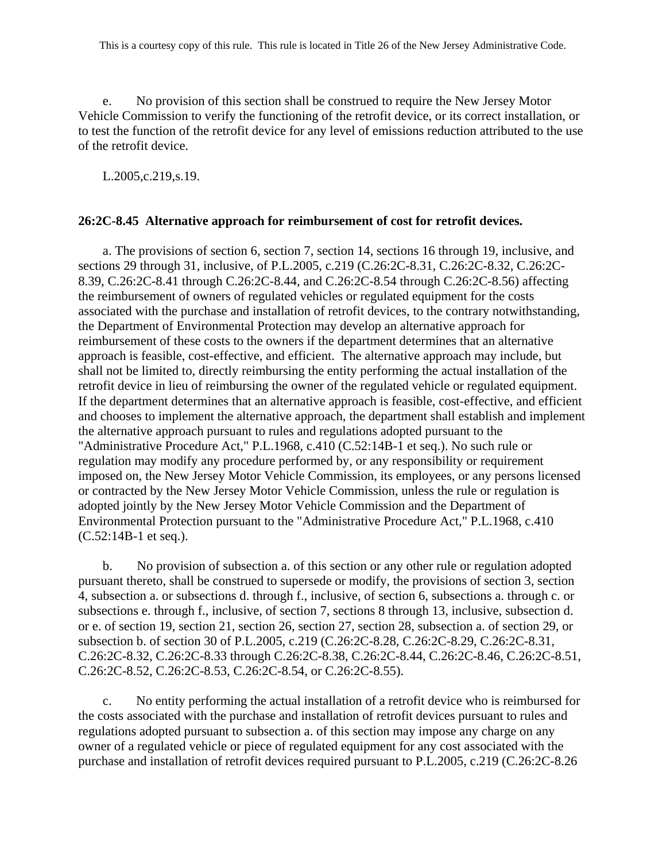e. No provision of this section shall be construed to require the New Jersey Motor Vehicle Commission to verify the functioning of the retrofit device, or its correct installation, or to test the function of the retrofit device for any level of emissions reduction attributed to the use of the retrofit device.

L.2005,c.219,s.19.

#### **26:2C-8.45 Alternative approach for reimbursement of cost for retrofit devices.**

a. The provisions of section 6, section 7, section 14, sections 16 through 19, inclusive, and sections 29 through 31, inclusive, of P.L.2005, c.219 (C.26:2C-8.31, C.26:2C-8.32, C.26:2C-8.39, C.26:2C-8.41 through C.26:2C-8.44, and C.26:2C-8.54 through C.26:2C-8.56) affecting the reimbursement of owners of regulated vehicles or regulated equipment for the costs associated with the purchase and installation of retrofit devices, to the contrary notwithstanding, the Department of Environmental Protection may develop an alternative approach for reimbursement of these costs to the owners if the department determines that an alternative approach is feasible, cost-effective, and efficient. The alternative approach may include, but shall not be limited to, directly reimbursing the entity performing the actual installation of the retrofit device in lieu of reimbursing the owner of the regulated vehicle or regulated equipment. If the department determines that an alternative approach is feasible, cost-effective, and efficient and chooses to implement the alternative approach, the department shall establish and implement the alternative approach pursuant to rules and regulations adopted pursuant to the "Administrative Procedure Act," P.L.1968, c.410 (C.52:14B-1 et seq.). No such rule or regulation may modify any procedure performed by, or any responsibility or requirement imposed on, the New Jersey Motor Vehicle Commission, its employees, or any persons licensed or contracted by the New Jersey Motor Vehicle Commission, unless the rule or regulation is adopted jointly by the New Jersey Motor Vehicle Commission and the Department of Environmental Protection pursuant to the "Administrative Procedure Act," P.L.1968, c.410 (C.52:14B-1 et seq.).

b. No provision of subsection a. of this section or any other rule or regulation adopted pursuant thereto, shall be construed to supersede or modify, the provisions of section 3, section 4, subsection a. or subsections d. through f., inclusive, of section 6, subsections a. through c. or subsections e. through f., inclusive, of section 7, sections 8 through 13, inclusive, subsection d. or e. of section 19, section 21, section 26, section 27, section 28, subsection a. of section 29, or subsection b. of section 30 of P.L.2005, c.219 (C.26:2C-8.28, C.26:2C-8.29, C.26:2C-8.31, C.26:2C-8.32, C.26:2C-8.33 through C.26:2C-8.38, C.26:2C-8.44, C.26:2C-8.46, C.26:2C-8.51, C.26:2C-8.52, C.26:2C-8.53, C.26:2C-8.54, or C.26:2C-8.55).

c. No entity performing the actual installation of a retrofit device who is reimbursed for the costs associated with the purchase and installation of retrofit devices pursuant to rules and regulations adopted pursuant to subsection a. of this section may impose any charge on any owner of a regulated vehicle or piece of regulated equipment for any cost associated with the purchase and installation of retrofit devices required pursuant to P.L.2005, c.219 (C.26:2C-8.26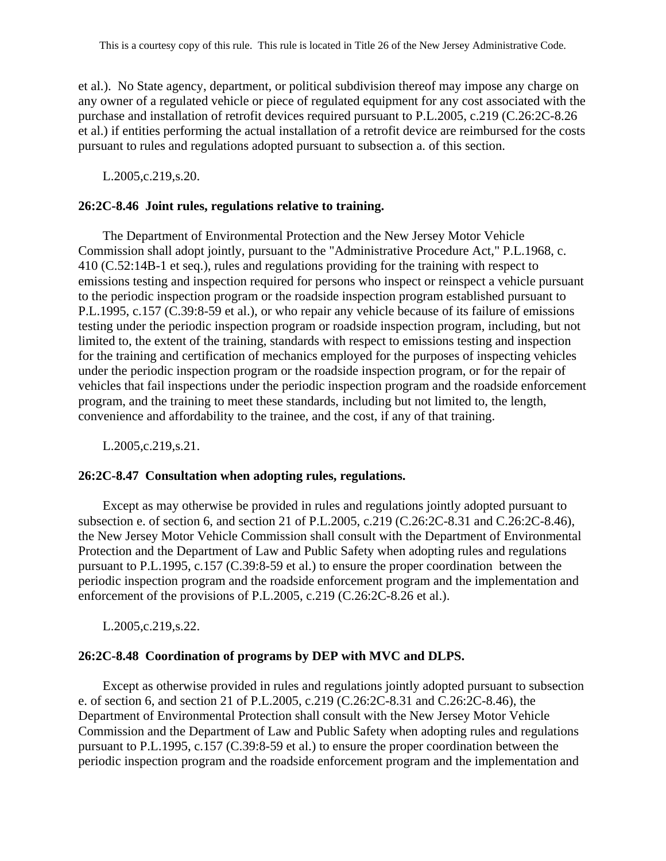et al.). No State agency, department, or political subdivision thereof may impose any charge on any owner of a regulated vehicle or piece of regulated equipment for any cost associated with the purchase and installation of retrofit devices required pursuant to P.L.2005, c.219 (C.26:2C-8.26 et al.) if entities performing the actual installation of a retrofit device are reimbursed for the costs pursuant to rules and regulations adopted pursuant to subsection a. of this section.

L.2005,c.219,s.20.

#### **26:2C-8.46 Joint rules, regulations relative to training.**

The Department of Environmental Protection and the New Jersey Motor Vehicle Commission shall adopt jointly, pursuant to the "Administrative Procedure Act," P.L.1968, c. 410 (C.52:14B-1 et seq.), rules and regulations providing for the training with respect to emissions testing and inspection required for persons who inspect or reinspect a vehicle pursuant to the periodic inspection program or the roadside inspection program established pursuant to P.L.1995, c.157 (C.39:8-59 et al.), or who repair any vehicle because of its failure of emissions testing under the periodic inspection program or roadside inspection program, including, but not limited to, the extent of the training, standards with respect to emissions testing and inspection for the training and certification of mechanics employed for the purposes of inspecting vehicles under the periodic inspection program or the roadside inspection program, or for the repair of vehicles that fail inspections under the periodic inspection program and the roadside enforcement program, and the training to meet these standards, including but not limited to, the length, convenience and affordability to the trainee, and the cost, if any of that training.

L.2005,c.219,s.21.

### **26:2C-8.47 Consultation when adopting rules, regulations.**

Except as may otherwise be provided in rules and regulations jointly adopted pursuant to subsection e. of section 6, and section 21 of P.L.2005, c.219 (C.26:2C-8.31 and C.26:2C-8.46), the New Jersey Motor Vehicle Commission shall consult with the Department of Environmental Protection and the Department of Law and Public Safety when adopting rules and regulations pursuant to P.L.1995, c.157 (C.39:8-59 et al.) to ensure the proper coordination between the periodic inspection program and the roadside enforcement program and the implementation and enforcement of the provisions of P.L.2005, c.219 (C.26:2C-8.26 et al.).

L.2005,c.219,s.22.

### **26:2C-8.48 Coordination of programs by DEP with MVC and DLPS.**

Except as otherwise provided in rules and regulations jointly adopted pursuant to subsection e. of section 6, and section 21 of P.L.2005, c.219 (C.26:2C-8.31 and C.26:2C-8.46), the Department of Environmental Protection shall consult with the New Jersey Motor Vehicle Commission and the Department of Law and Public Safety when adopting rules and regulations pursuant to P.L.1995, c.157 (C.39:8-59 et al.) to ensure the proper coordination between the periodic inspection program and the roadside enforcement program and the implementation and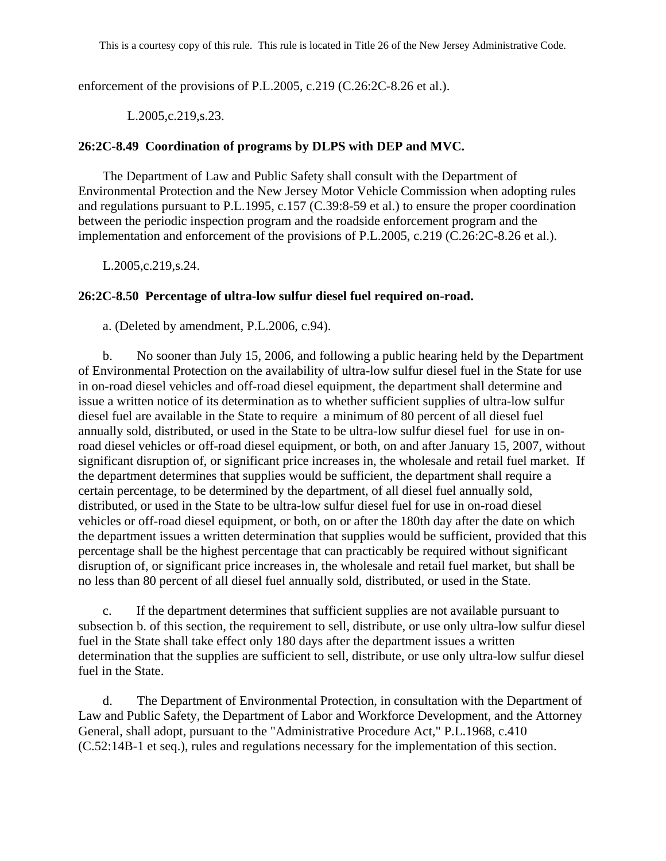enforcement of the provisions of P.L.2005, c.219 (C.26:2C-8.26 et al.).

## L.2005,c.219,s.23.

## **26:2C-8.49 Coordination of programs by DLPS with DEP and MVC.**

The Department of Law and Public Safety shall consult with the Department of Environmental Protection and the New Jersey Motor Vehicle Commission when adopting rules and regulations pursuant to P.L.1995, c.157 (C.39:8-59 et al.) to ensure the proper coordination between the periodic inspection program and the roadside enforcement program and the implementation and enforcement of the provisions of P.L.2005, c.219 (C.26:2C-8.26 et al.).

L.2005,c.219,s.24.

## **26:2C-8.50 Percentage of ultra-low sulfur diesel fuel required on-road.**

a. (Deleted by amendment, P.L.2006, c.94).

b. No sooner than July 15, 2006, and following a public hearing held by the Department of Environmental Protection on the availability of ultra-low sulfur diesel fuel in the State for use in on-road diesel vehicles and off-road diesel equipment, the department shall determine and issue a written notice of its determination as to whether sufficient supplies of ultra-low sulfur diesel fuel are available in the State to require a minimum of 80 percent of all diesel fuel annually sold, distributed, or used in the State to be ultra-low sulfur diesel fuel for use in onroad diesel vehicles or off-road diesel equipment, or both, on and after January 15, 2007, without significant disruption of, or significant price increases in, the wholesale and retail fuel market. If the department determines that supplies would be sufficient, the department shall require a certain percentage, to be determined by the department, of all diesel fuel annually sold, distributed, or used in the State to be ultra-low sulfur diesel fuel for use in on-road diesel vehicles or off-road diesel equipment, or both, on or after the 180th day after the date on which the department issues a written determination that supplies would be sufficient, provided that this percentage shall be the highest percentage that can practicably be required without significant disruption of, or significant price increases in, the wholesale and retail fuel market, but shall be no less than 80 percent of all diesel fuel annually sold, distributed, or used in the State.

c. If the department determines that sufficient supplies are not available pursuant to subsection b. of this section, the requirement to sell, distribute, or use only ultra-low sulfur diesel fuel in the State shall take effect only 180 days after the department issues a written determination that the supplies are sufficient to sell, distribute, or use only ultra-low sulfur diesel fuel in the State.

d. The Department of Environmental Protection, in consultation with the Department of Law and Public Safety, the Department of Labor and Workforce Development, and the Attorney General, shall adopt, pursuant to the "Administrative Procedure Act," P.L.1968, c.410 (C.52:14B-1 et seq.), rules and regulations necessary for the implementation of this section.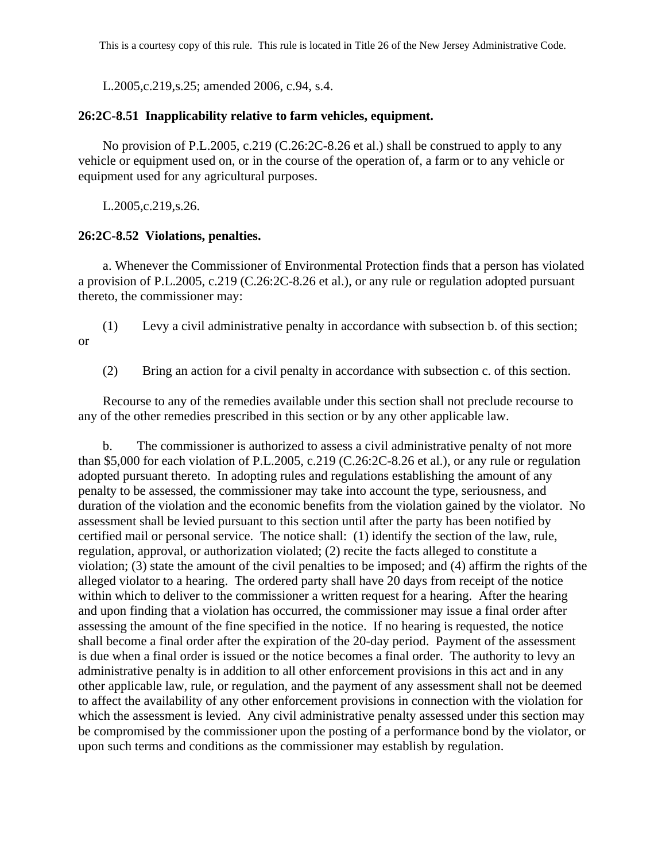L.2005,c.219,s.25; amended 2006, c.94, s.4.

### **26:2C-8.51 Inapplicability relative to farm vehicles, equipment.**

No provision of P.L.2005, c.219 (C.26:2C-8.26 et al.) shall be construed to apply to any vehicle or equipment used on, or in the course of the operation of, a farm or to any vehicle or equipment used for any agricultural purposes.

L.2005,c.219,s.26.

### **26:2C-8.52 Violations, penalties.**

a. Whenever the Commissioner of Environmental Protection finds that a person has violated a provision of P.L.2005, c.219 (C.26:2C-8.26 et al.), or any rule or regulation adopted pursuant thereto, the commissioner may:

(1) Levy a civil administrative penalty in accordance with subsection b. of this section; or

(2) Bring an action for a civil penalty in accordance with subsection c. of this section.

Recourse to any of the remedies available under this section shall not preclude recourse to any of the other remedies prescribed in this section or by any other applicable law.

b. The commissioner is authorized to assess a civil administrative penalty of not more than \$5,000 for each violation of P.L.2005, c.219 (C.26:2C-8.26 et al.), or any rule or regulation adopted pursuant thereto. In adopting rules and regulations establishing the amount of any penalty to be assessed, the commissioner may take into account the type, seriousness, and duration of the violation and the economic benefits from the violation gained by the violator. No assessment shall be levied pursuant to this section until after the party has been notified by certified mail or personal service. The notice shall: (1) identify the section of the law, rule, regulation, approval, or authorization violated; (2) recite the facts alleged to constitute a violation; (3) state the amount of the civil penalties to be imposed; and (4) affirm the rights of the alleged violator to a hearing. The ordered party shall have 20 days from receipt of the notice within which to deliver to the commissioner a written request for a hearing. After the hearing and upon finding that a violation has occurred, the commissioner may issue a final order after assessing the amount of the fine specified in the notice. If no hearing is requested, the notice shall become a final order after the expiration of the 20-day period. Payment of the assessment is due when a final order is issued or the notice becomes a final order. The authority to levy an administrative penalty is in addition to all other enforcement provisions in this act and in any other applicable law, rule, or regulation, and the payment of any assessment shall not be deemed to affect the availability of any other enforcement provisions in connection with the violation for which the assessment is levied. Any civil administrative penalty assessed under this section may be compromised by the commissioner upon the posting of a performance bond by the violator, or upon such terms and conditions as the commissioner may establish by regulation.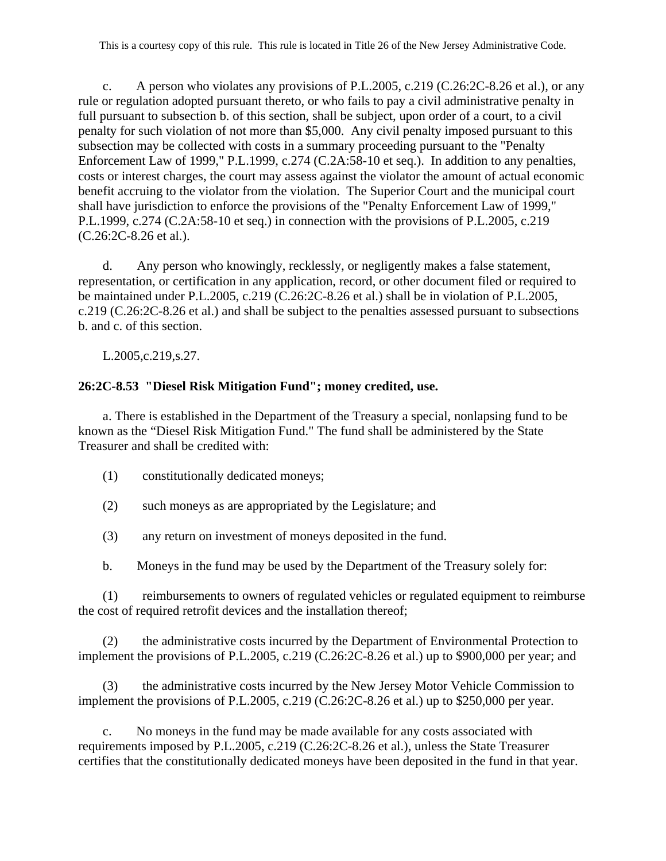c. A person who violates any provisions of P.L.2005, c.219 (C.26:2C-8.26 et al.), or any rule or regulation adopted pursuant thereto, or who fails to pay a civil administrative penalty in full pursuant to subsection b. of this section, shall be subject, upon order of a court, to a civil penalty for such violation of not more than \$5,000. Any civil penalty imposed pursuant to this subsection may be collected with costs in a summary proceeding pursuant to the "Penalty Enforcement Law of 1999," P.L.1999, c.274 (C.2A:58-10 et seq.). In addition to any penalties, costs or interest charges, the court may assess against the violator the amount of actual economic benefit accruing to the violator from the violation. The Superior Court and the municipal court shall have jurisdiction to enforce the provisions of the "Penalty Enforcement Law of 1999," P.L.1999, c.274 (C.2A:58-10 et seq.) in connection with the provisions of P.L.2005, c.219 (C.26:2C-8.26 et al.).

d. Any person who knowingly, recklessly, or negligently makes a false statement, representation, or certification in any application, record, or other document filed or required to be maintained under P.L.2005, c.219 (C.26:2C-8.26 et al.) shall be in violation of P.L.2005, c.219 (C.26:2C-8.26 et al.) and shall be subject to the penalties assessed pursuant to subsections b. and c. of this section.

L.2005,c.219,s.27.

## **26:2C-8.53 "Diesel Risk Mitigation Fund"; money credited, use.**

a. There is established in the Department of the Treasury a special, nonlapsing fund to be known as the "Diesel Risk Mitigation Fund." The fund shall be administered by the State Treasurer and shall be credited with:

- (1) constitutionally dedicated moneys;
- (2) such moneys as are appropriated by the Legislature; and
- (3) any return on investment of moneys deposited in the fund.
- b. Moneys in the fund may be used by the Department of the Treasury solely for:

(1) reimbursements to owners of regulated vehicles or regulated equipment to reimburse the cost of required retrofit devices and the installation thereof;

(2) the administrative costs incurred by the Department of Environmental Protection to implement the provisions of P.L.2005, c.219 (C.26:2C-8.26 et al.) up to \$900,000 per year; and

(3) the administrative costs incurred by the New Jersey Motor Vehicle Commission to implement the provisions of P.L.2005, c.219 (C.26:2C-8.26 et al.) up to \$250,000 per year.

No moneys in the fund may be made available for any costs associated with requirements imposed by P.L.2005, c.219 (C.26:2C-8.26 et al.), unless the State Treasurer certifies that the constitutionally dedicated moneys have been deposited in the fund in that year.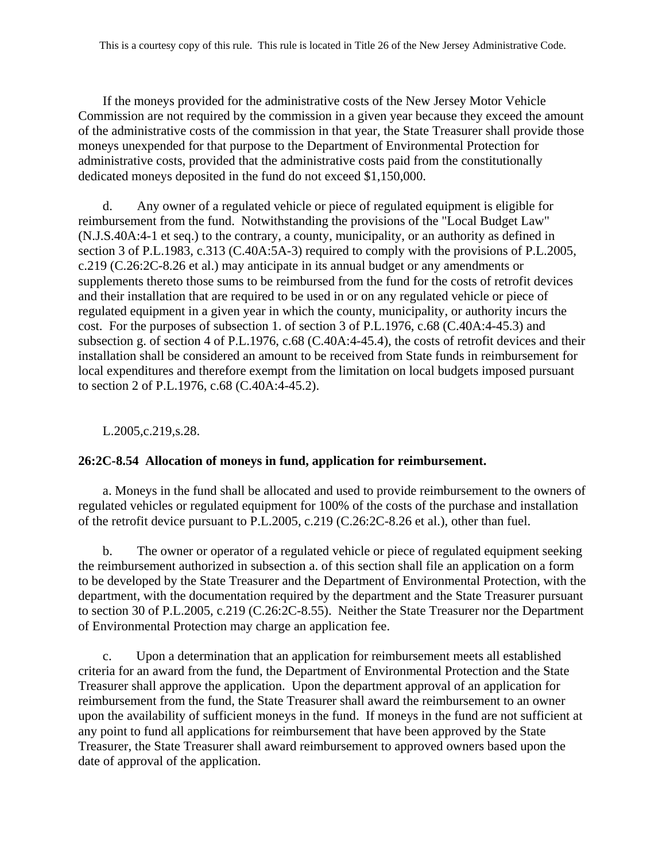If the moneys provided for the administrative costs of the New Jersey Motor Vehicle Commission are not required by the commission in a given year because they exceed the amount of the administrative costs of the commission in that year, the State Treasurer shall provide those moneys unexpended for that purpose to the Department of Environmental Protection for administrative costs, provided that the administrative costs paid from the constitutionally dedicated moneys deposited in the fund do not exceed \$1,150,000.

d. Any owner of a regulated vehicle or piece of regulated equipment is eligible for reimbursement from the fund. Notwithstanding the provisions of the "Local Budget Law" (N.J.S.40A:4-1 et seq.) to the contrary, a county, municipality, or an authority as defined in section 3 of P.L.1983, c.313 (C.40A:5A-3) required to comply with the provisions of P.L.2005, c.219 (C.26:2C-8.26 et al.) may anticipate in its annual budget or any amendments or supplements thereto those sums to be reimbursed from the fund for the costs of retrofit devices and their installation that are required to be used in or on any regulated vehicle or piece of regulated equipment in a given year in which the county, municipality, or authority incurs the cost. For the purposes of subsection 1. of section 3 of P.L.1976, c.68 (C.40A:4-45.3) and subsection g. of section 4 of P.L.1976, c.68 (C.40A:4-45.4), the costs of retrofit devices and their installation shall be considered an amount to be received from State funds in reimbursement for local expenditures and therefore exempt from the limitation on local budgets imposed pursuant to section 2 of P.L.1976, c.68 (C.40A:4-45.2).

L.2005,c.219,s.28.

# **26:2C-8.54 Allocation of moneys in fund, application for reimbursement.**

a. Moneys in the fund shall be allocated and used to provide reimbursement to the owners of regulated vehicles or regulated equipment for 100% of the costs of the purchase and installation of the retrofit device pursuant to P.L.2005, c.219 (C.26:2C-8.26 et al.), other than fuel.

b. The owner or operator of a regulated vehicle or piece of regulated equipment seeking the reimbursement authorized in subsection a. of this section shall file an application on a form to be developed by the State Treasurer and the Department of Environmental Protection, with the department, with the documentation required by the department and the State Treasurer pursuant to section 30 of P.L.2005, c.219 (C.26:2C-8.55). Neither the State Treasurer nor the Department of Environmental Protection may charge an application fee.

c. Upon a determination that an application for reimbursement meets all established criteria for an award from the fund, the Department of Environmental Protection and the State Treasurer shall approve the application. Upon the department approval of an application for reimbursement from the fund, the State Treasurer shall award the reimbursement to an owner upon the availability of sufficient moneys in the fund. If moneys in the fund are not sufficient at any point to fund all applications for reimbursement that have been approved by the State Treasurer, the State Treasurer shall award reimbursement to approved owners based upon the date of approval of the application.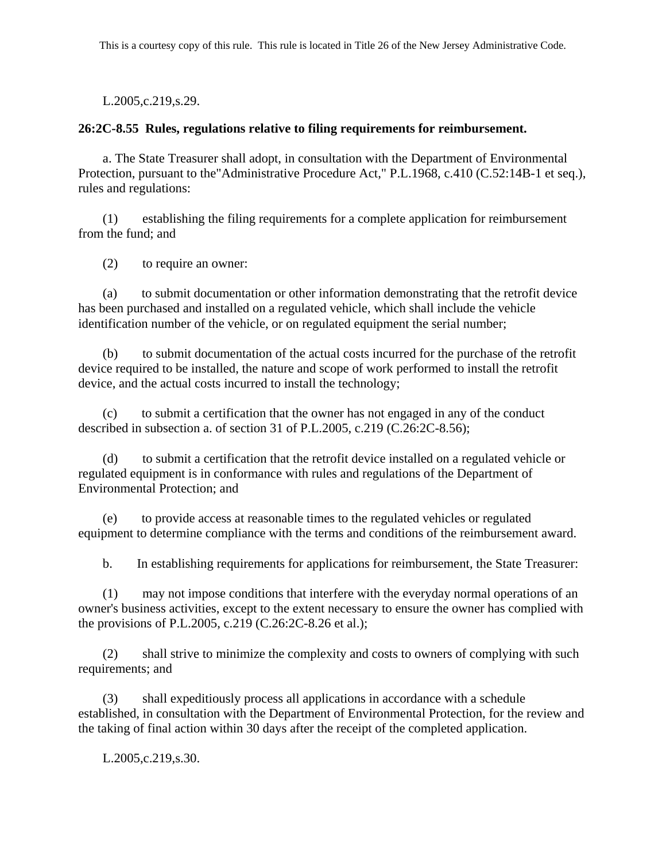L.2005,c.219,s.29.

## **26:2C-8.55 Rules, regulations relative to filing requirements for reimbursement.**

a. The State Treasurer shall adopt, in consultation with the Department of Environmental Protection, pursuant to the"Administrative Procedure Act," P.L.1968, c.410 (C.52:14B-1 et seq.), rules and regulations:

(1) establishing the filing requirements for a complete application for reimbursement from the fund; and

(2) to require an owner:

(a) to submit documentation or other information demonstrating that the retrofit device has been purchased and installed on a regulated vehicle, which shall include the vehicle identification number of the vehicle, or on regulated equipment the serial number;

(b) to submit documentation of the actual costs incurred for the purchase of the retrofit device required to be installed, the nature and scope of work performed to install the retrofit device, and the actual costs incurred to install the technology;

(c) to submit a certification that the owner has not engaged in any of the conduct described in subsection a. of section 31 of P.L.2005, c.219 (C.26:2C-8.56);

(d) to submit a certification that the retrofit device installed on a regulated vehicle or regulated equipment is in conformance with rules and regulations of the Department of Environmental Protection; and

(e) to provide access at reasonable times to the regulated vehicles or regulated equipment to determine compliance with the terms and conditions of the reimbursement award.

b. In establishing requirements for applications for reimbursement, the State Treasurer:

(1) may not impose conditions that interfere with the everyday normal operations of an owner's business activities, except to the extent necessary to ensure the owner has complied with the provisions of P.L.2005, c.219 (C.26:2C-8.26 et al.);

(2) shall strive to minimize the complexity and costs to owners of complying with such requirements; and

(3) shall expeditiously process all applications in accordance with a schedule established, in consultation with the Department of Environmental Protection, for the review and the taking of final action within 30 days after the receipt of the completed application.

L.2005,c.219,s.30.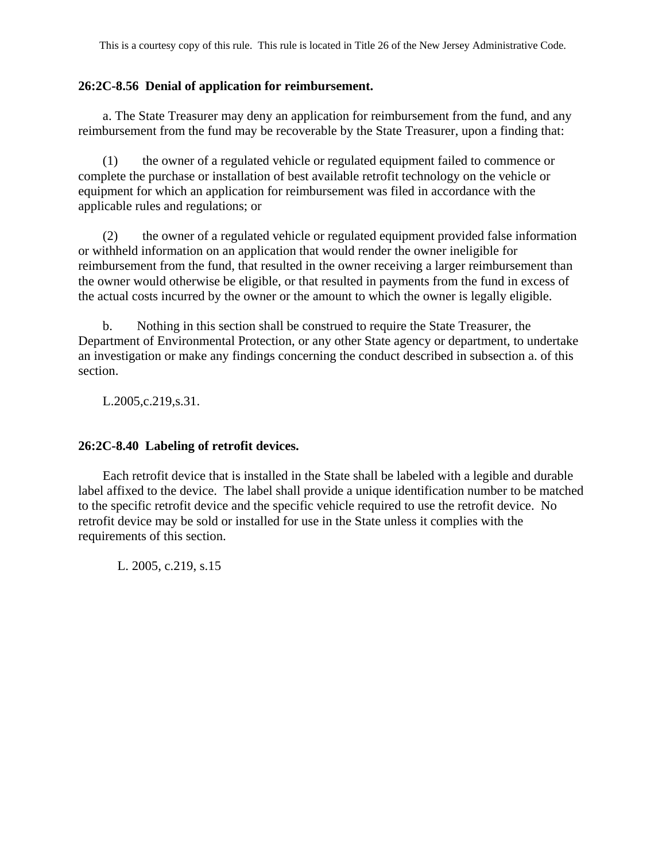### **26:2C-8.56 Denial of application for reimbursement.**

a. The State Treasurer may deny an application for reimbursement from the fund, and any reimbursement from the fund may be recoverable by the State Treasurer, upon a finding that:

(1) the owner of a regulated vehicle or regulated equipment failed to commence or complete the purchase or installation of best available retrofit technology on the vehicle or equipment for which an application for reimbursement was filed in accordance with the applicable rules and regulations; or

(2) the owner of a regulated vehicle or regulated equipment provided false information or withheld information on an application that would render the owner ineligible for reimbursement from the fund, that resulted in the owner receiving a larger reimbursement than the owner would otherwise be eligible, or that resulted in payments from the fund in excess of the actual costs incurred by the owner or the amount to which the owner is legally eligible.

b. Nothing in this section shall be construed to require the State Treasurer, the Department of Environmental Protection, or any other State agency or department, to undertake an investigation or make any findings concerning the conduct described in subsection a. of this section.

L.2005,c.219,s.31.

## **26:2C-8.40 Labeling of retrofit devices.**

Each retrofit device that is installed in the State shall be labeled with a legible and durable label affixed to the device. The label shall provide a unique identification number to be matched to the specific retrofit device and the specific vehicle required to use the retrofit device. No retrofit device may be sold or installed for use in the State unless it complies with the requirements of this section.

L. 2005, c.219, s.15